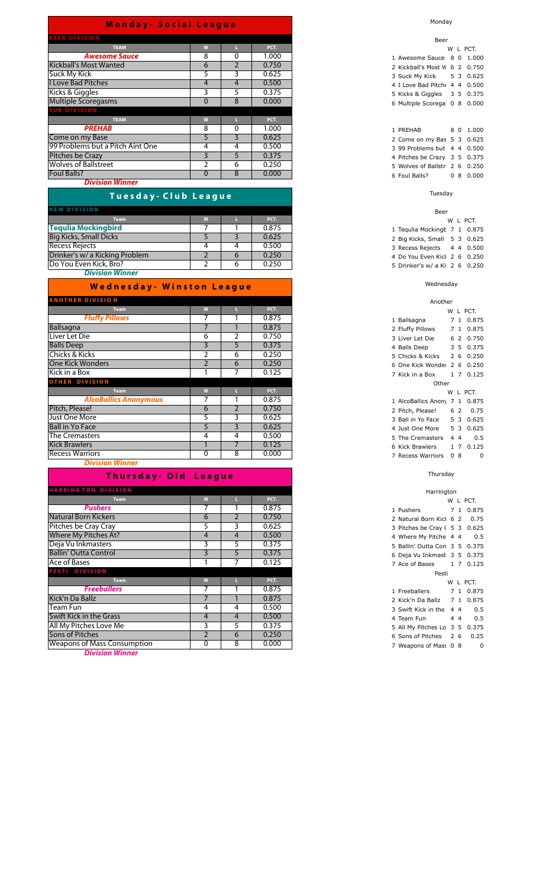| <b>BEER DIVISION</b>             |              |          |       |
|----------------------------------|--------------|----------|-------|
| <b>TEAM</b>                      | W            |          | PCT.  |
| <b>Awesome Sauce</b>             | 8            | 0        | 1.000 |
| <b>Kickball's Most Wanted</b>    | 6            |          | 0.750 |
| <b>Suck My Kick</b>              | 5            | 3        | 0.625 |
| <b>I Love Bad Pitches</b>        | 4            | 4        | 0.500 |
| Kicks & Giggles                  | 3            |          | 0.375 |
| <b>Multiple Scoregasms</b>       | $\Omega$     | 8        | 0.000 |
| <b>SUB DIVISION</b>              |              |          |       |
| <b>TEAM</b>                      | W            |          | PCT.  |
| <b>PREHAB</b>                    | 8            | $\Omega$ | 1.000 |
| Come on my Base                  | 5            | 3        | 0.625 |
| 99 Problems but a Pitch Aint One | 4            | 4        | 0.500 |
| Pitches be Crazy                 | 3            | 5.       | 0.375 |
| <b>Wolves of Ballstreet</b>      |              | 6        | 0.250 |
| <b>Foul Balls?</b>               | $\mathbf{0}$ | 8        | 0.000 |

*Division Winner*

## **T u e s d a y - C l u b L e a g u e**

| <b>NEW DIVISION</b>            |  |       |
|--------------------------------|--|-------|
| <b>Team</b>                    |  | PCT.  |
| <b>Tequlia Mockingbird</b>     |  | 0.875 |
| <b>Big Kicks, Small Dicks</b>  |  | 0.625 |
| <b>Recess Rejects</b>          |  | 0.500 |
| Drinker's w/ a Kicking Problem |  | 0.250 |
| Do You Even Kick, Bro?         |  | 0.250 |
| <b>Division Winner</b>         |  |       |

| <b>Wednesday- Winston League</b> |   |                |       |  |  |  |  |  |  |
|----------------------------------|---|----------------|-------|--|--|--|--|--|--|
| <b>ANOTHER DIVISION</b>          |   |                |       |  |  |  |  |  |  |
| <b>Team</b>                      | W |                | PCT.  |  |  |  |  |  |  |
| <b>Fluffy Pillows</b>            | 7 |                | 0.875 |  |  |  |  |  |  |
| <b>Ballsagna</b>                 | 7 |                | 0.875 |  |  |  |  |  |  |
| Liver Let Die                    | 6 | 2              | 0.750 |  |  |  |  |  |  |
| <b>Balls Deep</b>                | 3 | 5              | 0.375 |  |  |  |  |  |  |
| Chicks & Kicks                   | 2 | 6              | 0.250 |  |  |  |  |  |  |
| <b>One Kick Wonders</b>          | 2 | 6              | 0.250 |  |  |  |  |  |  |
| Kick in a Box                    |   | 7              | 0.125 |  |  |  |  |  |  |
| <b>OTHER DIVISION</b>            |   |                |       |  |  |  |  |  |  |
| <b>Team</b>                      | W | ш              | PCT.  |  |  |  |  |  |  |
| <b>AlcoBallics Anonymous</b>     | 7 |                | 0.875 |  |  |  |  |  |  |
| Pitch, Please!                   | 6 | $\overline{2}$ | 0.750 |  |  |  |  |  |  |
| Just One More                    | 5 | 3              | 0.625 |  |  |  |  |  |  |
| <b>Ball in Yo Face</b>           | 5 | 3              | 0.625 |  |  |  |  |  |  |
| The Cremasters                   | 4 | 4              | 0.500 |  |  |  |  |  |  |
| <b>Kick Brawlers</b>             |   | 7              | 0.125 |  |  |  |  |  |  |
| <b>Recess Warriors</b>           | 0 | 8              | 0.000 |  |  |  |  |  |  |

*Division Winner*

## **Thursday-Old League**

| <b>HARRINGTON DIVISION</b>         |                |    |       |
|------------------------------------|----------------|----|-------|
| <b>Team</b>                        | W              |    | PCT.  |
| <b>Pushers</b>                     |                |    | 0.875 |
| <b>Natural Born Kickers</b>        | 6              |    | 0.750 |
| Pitches be Cray Cray               | 5              | 3  | 0.625 |
| Where My Pitches At?               | 4              | 4  | 0.500 |
| Deja Vu Inkmasters                 | 3              | 5. | 0.375 |
| <b>Ballin' Outta Control</b>       | 3              | 5  | 0.375 |
| Ace of Bases                       |                |    | 0.125 |
| PESTI DIVISION                     |                |    |       |
| <b>Team</b>                        | W              | ш  | PCT.  |
| <b>Freeballers</b>                 | ⇁              |    | 0.875 |
| Kick'n Da Ballz                    |                |    | 0.875 |
| Team Fun                           | 4              | 4  | 0.500 |
| <b>Swift Kick in the Grass</b>     | 4              | 4  | 0.500 |
| All My Pitches Love Me             | 3              | 5  | 0.375 |
| <b>Sons of Pitches</b>             | $\overline{2}$ | 6  | 0.250 |
| <b>Weapons of Mass Consumption</b> | 0              | 8  | 0.000 |

*Division Winner*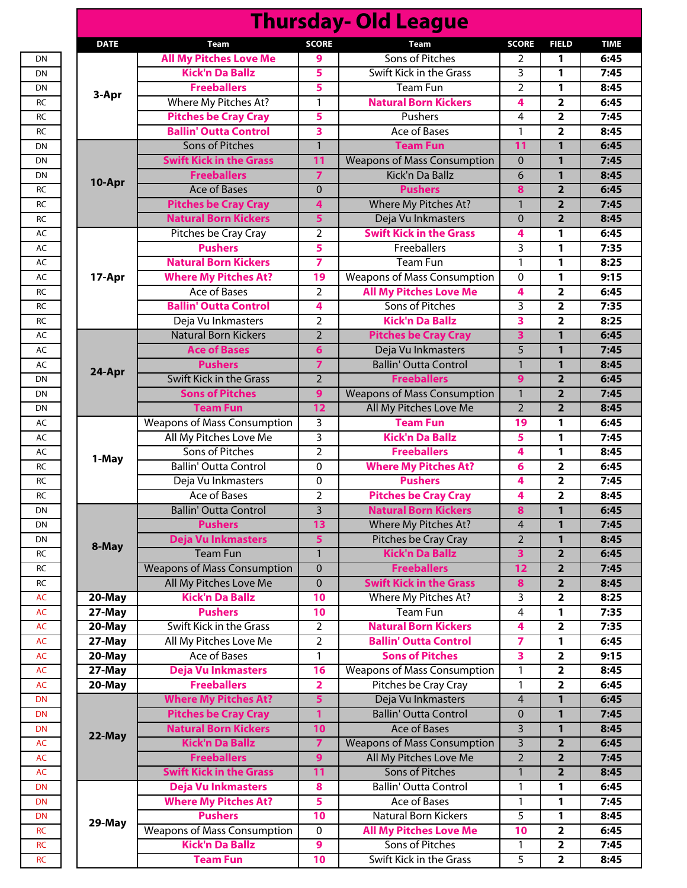|             |                                                 |                         | <b>Thursday- Old League</b>        |                 |                         |
|-------------|-------------------------------------------------|-------------------------|------------------------------------|-----------------|-------------------------|
| <b>DATE</b> | <b>Team</b>                                     | <b>SCORE</b>            | <b>Team</b>                        | <b>SCORE</b>    | <b>FIELD</b>            |
|             | <b>All My Pitches Love Me</b>                   | 9                       | <b>Sons of Pitches</b>             | 2               | 1                       |
|             | <b>Kick'n Da Ballz</b>                          | 5                       | Swift Kick in the Grass            | 3               | 1                       |
|             | <b>Freeballers</b>                              | 5                       | Team Fun                           | $\overline{2}$  | 1                       |
| 3-Apr       | Where My Pitches At?                            | $\mathbf{1}$            | <b>Natural Born Kickers</b>        | 4               | 2                       |
|             | <b>Pitches be Cray Cray</b>                     | 5                       | Pushers                            | 4               | $\mathbf{2}$            |
|             | <b>Ballin' Outta Control</b>                    | 3                       | <b>Ace of Bases</b>                | 1               | $\overline{2}$          |
|             | <b>Sons of Pitches</b>                          | $\overline{1}$          | <b>Team Fun</b>                    | $\overline{11}$ | 1                       |
|             | <b>Swift Kick in the Grass</b>                  | 11                      | <b>Weapons of Mass Consumption</b> | $\overline{0}$  | $\mathbf{1}$            |
|             | <b>Freeballers</b>                              | $\overline{7}$          | Kick'n Da Ballz                    | 6               | $\mathbf{1}$            |
| 10-Apr      | <b>Ace of Bases</b>                             | $\mathbf 0$             | <b>Pushers</b>                     | 8               | $\mathbf{2}$            |
|             | <b>Pitches be Cray Cray</b>                     | 4                       | Where My Pitches At?               | $\mathbf{1}$    | $\overline{2}$          |
|             | <b>Natural Born Kickers</b>                     | 5                       | Deja Vu Inkmasters                 | $\overline{0}$  | $\overline{2}$          |
|             | Pitches be Cray Cray                            | $\overline{2}$          | <b>Swift Kick in the Grass</b>     | 4               | 1                       |
|             | <b>Pushers</b>                                  | 5                       | Freeballers                        | 3               | 1                       |
|             | <b>Natural Born Kickers</b>                     | 7                       | <b>Team Fun</b>                    | 1               | 1                       |
| 17-Apr      | <b>Where My Pitches At?</b>                     | 19                      | <b>Weapons of Mass Consumption</b> | 0               | 1                       |
|             | <b>Ace of Bases</b>                             | $\overline{2}$          | <b>All My Pitches Love Me</b>      | 4               | 2                       |
|             | <b>Ballin' Outta Control</b>                    | 4                       | Sons of Pitches                    | 3               | 2                       |
|             | Deja Vu Inkmasters                              | $\overline{2}$          | <b>Kick'n Da Ballz</b>             | 3               | $\mathbf{2}$            |
|             | <b>Natural Born Kickers</b>                     | $\overline{2}$          | <b>Pitches be Cray Cray</b>        | 3               | 1                       |
|             | <b>Ace of Bases</b>                             | 6                       | Deja Vu Inkmasters                 | $\overline{5}$  | $\mathbf{1}$            |
|             | <b>Pushers</b>                                  | 7                       | <b>Ballin' Outta Control</b>       | $\mathbf{1}$    | 1                       |
| 24-Apr      | <b>Swift Kick in the Grass</b>                  | $\overline{2}$          | <b>Freeballers</b>                 | 9               | $\overline{\mathbf{2}}$ |
|             | <b>Sons of Pitches</b>                          | 9                       | <b>Weapons of Mass Consumption</b> | $\mathbf{1}$    | $\overline{2}$          |
|             | <b>Team Fun</b>                                 | 12                      | All My Pitches Love Me             | $\overline{2}$  | $\overline{2}$          |
|             | <b>Weapons of Mass Consumption</b>              | 3                       | <b>Team Fun</b>                    | 19              | 1                       |
|             | All My Pitches Love Me                          | 3                       | <b>Kick'n Da Ballz</b>             | 5               | 1                       |
|             |                                                 |                         |                                    |                 |                         |
| 1-May       | Sons of Pitches<br><b>Ballin' Outta Control</b> | $\overline{2}$          | <b>Freeballers</b>                 | 4               | 1                       |
|             |                                                 | 0                       | <b>Where My Pitches At?</b>        | 6               | 2                       |
|             | Deja Vu Inkmasters                              | 0                       | <b>Pushers</b>                     | 4               | 2                       |
|             | Ace of Bases                                    | $\overline{2}$          | <b>Pitches be Cray Cray</b>        | 4               | 2                       |
|             | <b>Ballin' Outta Control</b>                    | $\overline{3}$          | <b>Natural Born Kickers</b>        | 8               | $\overline{1}$          |
|             | <b>Pushers</b>                                  | 13                      | Where My Pitches At?               | $\overline{4}$  | $\mathbf{1}$            |
| 8-May       | <b>Deja Vu Inkmasters</b>                       | 5                       | Pitches be Cray Cray               | $\overline{2}$  | $\mathbf{1}$            |
|             | <b>Team Fun</b>                                 | $\mathbf{1}$            | <b>Kick'n Da Ballz</b>             | 3               | $\overline{\mathbf{2}}$ |
|             | <b>Weapons of Mass Consumption</b>              | $\mathbf 0$             | <b>Freeballers</b>                 | 12              | $\overline{2}$          |
|             | All My Pitches Love Me                          | $\mathbf 0$             | <b>Swift Kick in the Grass</b>     | 8               | $\overline{2}$          |
| 20-May      | <b>Kick'n Da Ballz</b>                          | 10                      | Where My Pitches At?               | 3               | $\mathbf{2}$            |
| 27-May      | <b>Pushers</b>                                  | 10                      | <b>Team Fun</b>                    | 4               | 1                       |
| 20-May      | Swift Kick in the Grass                         | $\overline{2}$          | <b>Natural Born Kickers</b>        | 4               | $\mathbf{2}$            |
| 27-May      | All My Pitches Love Me                          | $\overline{2}$          | <b>Ballin' Outta Control</b>       | 7               | 1                       |
| 20-May      | <b>Ace of Bases</b>                             | $\mathbf{1}$            | <b>Sons of Pitches</b>             | 3               | $\overline{2}$          |
| 27-May      | Deja Vu Inkmasters                              | 16                      | <b>Weapons of Mass Consumption</b> | $\mathbf{1}$    | $\mathbf{2}$            |
| 20-May      | <b>Freeballers</b>                              | $\overline{\mathbf{2}}$ | Pitches be Cray Cray               | $\mathbf{1}$    | $\overline{2}$          |
|             | <b>Where My Pitches At?</b>                     | 5                       | Deja Vu Inkmasters                 | $\overline{4}$  | 1                       |
|             | <b>Pitches be Cray Cray</b>                     | 1                       | <b>Ballin' Outta Control</b>       | $\mathbf 0$     | 1                       |
| 22-May      | <b>Natural Born Kickers</b>                     | 10                      | <b>Ace of Bases</b>                | 3               | 1                       |
|             | <b>Kick'n Da Ballz</b>                          | $\overline{z}$          | <b>Weapons of Mass Consumption</b> | 3               | $\overline{\mathbf{2}}$ |
|             | <b>Freeballers</b>                              | $\overline{9}$          | All My Pitches Love Me             | $\overline{2}$  | $\overline{2}$          |
|             | <b>Swift Kick in the Grass</b>                  | 11                      | <b>Sons of Pitches</b>             | 1               | $\overline{\mathbf{2}}$ |
|             | Deja Vu Inkmasters                              | 8                       | <b>Ballin' Outta Control</b>       | 1               | 1                       |
|             | <b>Where My Pitches At?</b>                     | 5                       | <b>Ace of Bases</b>                | 1               | 1                       |
|             | <b>Pushers</b>                                  | 10                      | Natural Born Kickers               | 5               | 1                       |
| 29-May      | <b>Weapons of Mass Consumption</b>              | $\mathbf 0$             | <b>All My Pitches Love Me</b>      | 10              | 2                       |
|             | <b>Kick'n Da Ballz</b>                          | 9                       | Sons of Pitches                    | $\mathbf{1}$    | 2                       |
|             | <b>Team Fun</b>                                 | 10                      | Swift Kick in the Grass            | 5               | $\overline{\mathbf{2}}$ |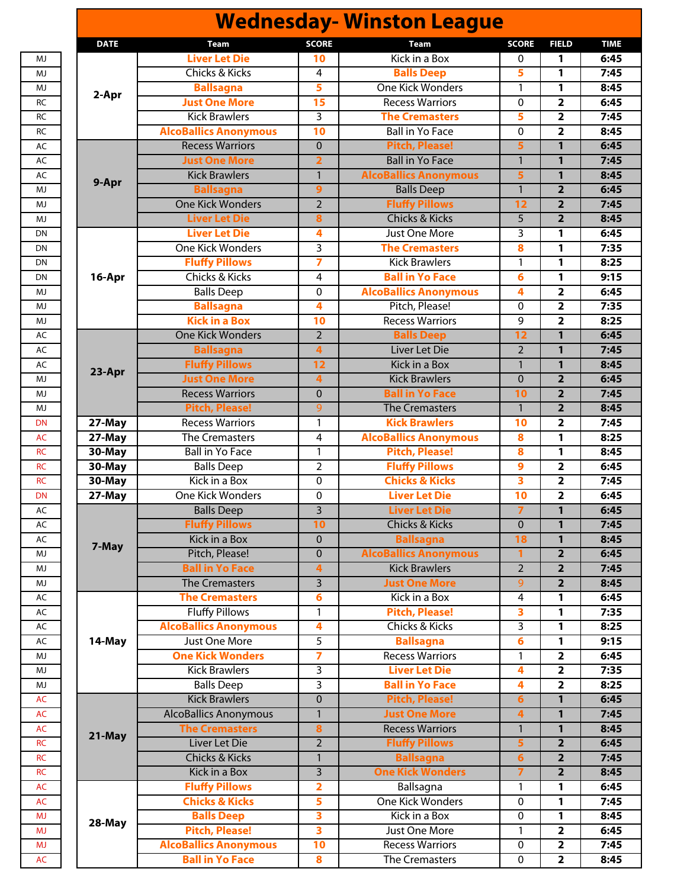| <b>SCORE</b><br><b>SCORE</b><br><b>FIELD</b><br><b>Team</b><br>Team<br>Kick in a Box<br><b>Liver Let Die</b><br>10<br>$\mathbf 0$<br>1<br>5<br><b>Chicks &amp; Kicks</b><br>$\overline{4}$<br><b>Balls Deep</b><br>1<br>5<br>One Kick Wonders<br><b>Ballsagna</b><br>1<br>1<br>2-Apr<br><b>Just One More</b><br><b>Recess Warriors</b><br>$\overline{2}$<br>15<br>0<br><b>Kick Brawlers</b><br>3<br>5<br>$\overline{2}$<br><b>The Cremasters</b><br><b>AlcoBallics Anonymous</b><br><b>Ball in Yo Face</b><br>$\overline{\mathbf{2}}$<br>10<br>0<br><b>Recess Warriors</b><br><b>Pitch, Please!</b><br>5<br>$\overline{0}$<br>1<br>$\overline{2}$<br><b>Ball in Yo Face</b><br>$\overline{1}$<br>$\overline{1}$<br><b>Just One More</b><br><b>AlcoBallics Anonymous</b><br><b>Kick Brawlers</b><br>$\mathbf{1}$<br>5<br>$\mathbf{1}$<br>$\mathbf{1}$<br>$\overline{2}$<br><b>Ballsagna</b><br><b>Balls Deep</b><br>9<br><b>One Kick Wonders</b><br><b>Fluffy Pillows</b><br>$\overline{2}$<br>12<br>$\overline{\mathbf{2}}$<br><b>Chicks &amp; Kicks</b><br>$\overline{5}$<br><b>Liver Let Die</b><br>$\overline{2}$<br>8<br><b>Liver Let Die</b><br><b>Just One More</b><br>3<br>4<br>1<br>$\overline{3}$<br><b>One Kick Wonders</b><br><b>The Cremasters</b><br>8<br>1<br><b>Fluffy Pillows</b><br>$\overline{z}$<br><b>Kick Brawlers</b><br>1<br>1<br>Chicks & Kicks<br><b>Ball in Yo Face</b><br>4<br>6<br>1<br><b>AlcoBallics Anonymous</b><br><b>Balls Deep</b><br>$\mathbf 0$<br>4<br>$\overline{\mathbf{2}}$<br><b>Ballsagna</b><br>Pitch, Please!<br>$\overline{\mathbf{2}}$<br>4<br>$\mathbf{0}$<br><b>Kick in a Box</b><br><b>Recess Warriors</b><br>9<br>$\overline{2}$<br>10<br>$\overline{2}$<br>$\overline{12}$<br>$\mathbf{1}$<br><b>One Kick Wonders</b><br><b>Balls Deep</b><br><b>Liver Let Die</b><br>$\overline{2}$<br><b>Ballsagna</b><br>$\mathbf{1}$<br>$\overline{4}$<br><b>Fluffy Pillows</b><br>Kick in a Box<br>$\mathbf{1}$<br>1<br>12<br><b>Just One More</b><br>$\mathbf{0}$<br>$\overline{2}$<br>$\overline{\mathbf{4}}$<br><b>Kick Brawlers</b><br><b>Recess Warriors</b><br><b>Ball in Yo Face</b><br>$\overline{2}$<br>$\mathbf{0}$<br>10<br><b>Pitch, Please!</b><br>9<br><b>The Cremasters</b><br>$\mathbf{1}$<br>$\overline{2}$<br><b>Kick Brawlers</b><br>10<br>27-May<br><b>Recess Warriors</b><br>$\mathbf{1}$<br>$\overline{\mathbf{2}}$<br><b>AlcoBallics Anonymous</b><br>27-May<br><b>The Cremasters</b><br>8<br>$\overline{4}$<br>1<br><b>Pitch, Please!</b><br>$30$ -May<br><b>Ball in Yo Face</b><br>$\mathbf{1}$<br>8<br>1<br><b>Fluffy Pillows</b><br>$\overline{2}$<br>9<br>$\overline{2}$<br>30-May<br><b>Balls Deep</b><br><b>Chicks &amp; Kicks</b><br>Kick in a Box<br>3<br>$\overline{2}$<br>30-May<br>$\mathbf 0$<br><b>One Kick Wonders</b><br><b>Liver Let Die</b><br>10<br>$\overline{\mathbf{2}}$<br>27-May<br>$\mathbf 0$<br>$\overline{\mathbf{3}}$<br>$\overline{7}$<br>$\overline{1}$<br><b>Liver Let Die</b><br><b>Balls Deep</b><br><b>Fluffy Pillows</b><br>$\mathbf{0}$<br>$\mathbf{1}$<br>10<br>Chicks & Kicks<br>Kick in a Box<br><b>Ballsagna</b><br>$\mathbf{0}$<br>18<br>$\mathbf{1}$<br>7-May<br>Pitch, Please!<br><b>AlcoBallics Anonymous</b><br>$\mathbf{0}$<br>$\mathbf{1}$<br>$\overline{\mathbf{2}}$<br><b>Ball in Yo Face</b><br><b>Kick Brawlers</b><br>2<br>4<br>$\overline{2}$<br><b>The Cremasters</b><br>$\overline{3}$<br><b>Just One More</b><br>9<br>$\overline{2}$<br><b>The Cremasters</b><br>6<br>Kick in a Box<br>4<br>1<br><b>Fluffy Pillows</b><br><b>Pitch, Please!</b><br>$\mathbf{1}$<br>3<br>1<br><b>AlcoBallics Anonymous</b><br><b>Chicks &amp; Kicks</b><br>3<br>1<br>4<br>Just One More<br>5<br><b>Ballsagna</b><br>6<br>1<br><b>Recess Warriors</b><br><b>One Kick Wonders</b><br>$\overline{\mathbf{z}}$<br>$\overline{\mathbf{2}}$<br>1<br><b>Liver Let Die</b><br><b>Kick Brawlers</b><br>3<br>$\overline{2}$<br>4<br><b>Balls Deep</b><br>3<br><b>Ball in Yo Face</b><br>4<br>$\overline{\mathbf{2}}$<br><b>Pitch, Please!</b><br><b>Kick Brawlers</b><br>$\mathbf{0}$<br>6<br>1<br><b>AlcoBallics Anonymous</b><br><b>Just One More</b><br>$\mathbf{1}$<br>4<br>$\mathbf{1}$<br><b>Recess Warriors</b><br><b>The Cremasters</b><br>$\bf{8}$<br>$\mathbf{1}$<br>$\mathbf{1}$<br><b>Fluffy Pillows</b><br>$\overline{2}$<br>Liver Let Die<br>5<br>$\overline{\mathbf{2}}$<br><b>Ballsagna</b><br><b>Chicks &amp; Kicks</b><br>$\mathbf{1}$<br>6<br>$\overline{2}$<br><b>One Kick Wonders</b><br>$\overline{3}$<br>$\overline{7}$<br>Kick in a Box<br>$\overline{2}$<br><b>Fluffy Pillows</b><br>$\overline{\mathbf{2}}$<br>Ballsagna<br>1<br>1<br><b>Chicks &amp; Kicks</b><br>One Kick Wonders<br>5<br>0<br>1<br><b>Balls Deep</b><br>Kick in a Box<br>3<br>0<br>1<br>28-May<br><b>Pitch, Please!</b><br>Just One More<br>3<br>$\overline{2}$<br>1<br><b>AlcoBallics Anonymous</b><br><b>Recess Warriors</b><br>10<br>$\overline{\mathbf{2}}$<br>$\mathbf 0$<br><b>Ball in Yo Face</b><br>8<br>$\pmb{0}$<br>$\overline{2}$<br>The Cremasters |             |  | <b>Wednesday- Winston League</b> |  |
|-----------------------------------------------------------------------------------------------------------------------------------------------------------------------------------------------------------------------------------------------------------------------------------------------------------------------------------------------------------------------------------------------------------------------------------------------------------------------------------------------------------------------------------------------------------------------------------------------------------------------------------------------------------------------------------------------------------------------------------------------------------------------------------------------------------------------------------------------------------------------------------------------------------------------------------------------------------------------------------------------------------------------------------------------------------------------------------------------------------------------------------------------------------------------------------------------------------------------------------------------------------------------------------------------------------------------------------------------------------------------------------------------------------------------------------------------------------------------------------------------------------------------------------------------------------------------------------------------------------------------------------------------------------------------------------------------------------------------------------------------------------------------------------------------------------------------------------------------------------------------------------------------------------------------------------------------------------------------------------------------------------------------------------------------------------------------------------------------------------------------------------------------------------------------------------------------------------------------------------------------------------------------------------------------------------------------------------------------------------------------------------------------------------------------------------------------------------------------------------------------------------------------------------------------------------------------------------------------------------------------------------------------------------------------------------------------------------------------------------------------------------------------------------------------------------------------------------------------------------------------------------------------------------------------------------------------------------------------------------------------------------------------------------------------------------------------------------------------------------------------------------------------------------------------------------------------------------------------------------------------------------------------------------------------------------------------------------------------------------------------------------------------------------------------------------------------------------------------------------------------------------------------------------------------------------------------------------------------------------------------------------------------------------------------------------------------------------------------------------------------------------------------------------------------------------------------------------------------------------------------------------------------------------------------------------------------------------------------------------------------------------------------------------------------------------------------------------------------------------------------------------------------------------------------------------------------------------------------------------------------------------------------------------------------------------------------------------------------------------------------------------------------------------------------------------------------------------------------------------------------------------------------------------------------------------------------------------------------------------------------------------------------------------------------------------------------------------------------------------------------------------------------------------------------------------------------------------------------------------------------------------------------------------------------------------------------------------------------------------------------------------------------------------------------------------|-------------|--|----------------------------------|--|
|                                                                                                                                                                                                                                                                                                                                                                                                                                                                                                                                                                                                                                                                                                                                                                                                                                                                                                                                                                                                                                                                                                                                                                                                                                                                                                                                                                                                                                                                                                                                                                                                                                                                                                                                                                                                                                                                                                                                                                                                                                                                                                                                                                                                                                                                                                                                                                                                                                                                                                                                                                                                                                                                                                                                                                                                                                                                                                                                                                                                                                                                                                                                                                                                                                                                                                                                                                                                                                                                                                                                                                                                                                                                                                                                                                                                                                                                                                                                                                                                                                                                                                                                                                                                                                                                                                                                                                                                                                                                                                                                                                                                                                                                                                                                                                                                                                                                                                                                                                                                                                                           | <b>DATE</b> |  |                                  |  |
|                                                                                                                                                                                                                                                                                                                                                                                                                                                                                                                                                                                                                                                                                                                                                                                                                                                                                                                                                                                                                                                                                                                                                                                                                                                                                                                                                                                                                                                                                                                                                                                                                                                                                                                                                                                                                                                                                                                                                                                                                                                                                                                                                                                                                                                                                                                                                                                                                                                                                                                                                                                                                                                                                                                                                                                                                                                                                                                                                                                                                                                                                                                                                                                                                                                                                                                                                                                                                                                                                                                                                                                                                                                                                                                                                                                                                                                                                                                                                                                                                                                                                                                                                                                                                                                                                                                                                                                                                                                                                                                                                                                                                                                                                                                                                                                                                                                                                                                                                                                                                                                           |             |  |                                  |  |
|                                                                                                                                                                                                                                                                                                                                                                                                                                                                                                                                                                                                                                                                                                                                                                                                                                                                                                                                                                                                                                                                                                                                                                                                                                                                                                                                                                                                                                                                                                                                                                                                                                                                                                                                                                                                                                                                                                                                                                                                                                                                                                                                                                                                                                                                                                                                                                                                                                                                                                                                                                                                                                                                                                                                                                                                                                                                                                                                                                                                                                                                                                                                                                                                                                                                                                                                                                                                                                                                                                                                                                                                                                                                                                                                                                                                                                                                                                                                                                                                                                                                                                                                                                                                                                                                                                                                                                                                                                                                                                                                                                                                                                                                                                                                                                                                                                                                                                                                                                                                                                                           |             |  |                                  |  |
|                                                                                                                                                                                                                                                                                                                                                                                                                                                                                                                                                                                                                                                                                                                                                                                                                                                                                                                                                                                                                                                                                                                                                                                                                                                                                                                                                                                                                                                                                                                                                                                                                                                                                                                                                                                                                                                                                                                                                                                                                                                                                                                                                                                                                                                                                                                                                                                                                                                                                                                                                                                                                                                                                                                                                                                                                                                                                                                                                                                                                                                                                                                                                                                                                                                                                                                                                                                                                                                                                                                                                                                                                                                                                                                                                                                                                                                                                                                                                                                                                                                                                                                                                                                                                                                                                                                                                                                                                                                                                                                                                                                                                                                                                                                                                                                                                                                                                                                                                                                                                                                           |             |  |                                  |  |
|                                                                                                                                                                                                                                                                                                                                                                                                                                                                                                                                                                                                                                                                                                                                                                                                                                                                                                                                                                                                                                                                                                                                                                                                                                                                                                                                                                                                                                                                                                                                                                                                                                                                                                                                                                                                                                                                                                                                                                                                                                                                                                                                                                                                                                                                                                                                                                                                                                                                                                                                                                                                                                                                                                                                                                                                                                                                                                                                                                                                                                                                                                                                                                                                                                                                                                                                                                                                                                                                                                                                                                                                                                                                                                                                                                                                                                                                                                                                                                                                                                                                                                                                                                                                                                                                                                                                                                                                                                                                                                                                                                                                                                                                                                                                                                                                                                                                                                                                                                                                                                                           |             |  |                                  |  |
|                                                                                                                                                                                                                                                                                                                                                                                                                                                                                                                                                                                                                                                                                                                                                                                                                                                                                                                                                                                                                                                                                                                                                                                                                                                                                                                                                                                                                                                                                                                                                                                                                                                                                                                                                                                                                                                                                                                                                                                                                                                                                                                                                                                                                                                                                                                                                                                                                                                                                                                                                                                                                                                                                                                                                                                                                                                                                                                                                                                                                                                                                                                                                                                                                                                                                                                                                                                                                                                                                                                                                                                                                                                                                                                                                                                                                                                                                                                                                                                                                                                                                                                                                                                                                                                                                                                                                                                                                                                                                                                                                                                                                                                                                                                                                                                                                                                                                                                                                                                                                                                           |             |  |                                  |  |
|                                                                                                                                                                                                                                                                                                                                                                                                                                                                                                                                                                                                                                                                                                                                                                                                                                                                                                                                                                                                                                                                                                                                                                                                                                                                                                                                                                                                                                                                                                                                                                                                                                                                                                                                                                                                                                                                                                                                                                                                                                                                                                                                                                                                                                                                                                                                                                                                                                                                                                                                                                                                                                                                                                                                                                                                                                                                                                                                                                                                                                                                                                                                                                                                                                                                                                                                                                                                                                                                                                                                                                                                                                                                                                                                                                                                                                                                                                                                                                                                                                                                                                                                                                                                                                                                                                                                                                                                                                                                                                                                                                                                                                                                                                                                                                                                                                                                                                                                                                                                                                                           |             |  |                                  |  |
|                                                                                                                                                                                                                                                                                                                                                                                                                                                                                                                                                                                                                                                                                                                                                                                                                                                                                                                                                                                                                                                                                                                                                                                                                                                                                                                                                                                                                                                                                                                                                                                                                                                                                                                                                                                                                                                                                                                                                                                                                                                                                                                                                                                                                                                                                                                                                                                                                                                                                                                                                                                                                                                                                                                                                                                                                                                                                                                                                                                                                                                                                                                                                                                                                                                                                                                                                                                                                                                                                                                                                                                                                                                                                                                                                                                                                                                                                                                                                                                                                                                                                                                                                                                                                                                                                                                                                                                                                                                                                                                                                                                                                                                                                                                                                                                                                                                                                                                                                                                                                                                           |             |  |                                  |  |
|                                                                                                                                                                                                                                                                                                                                                                                                                                                                                                                                                                                                                                                                                                                                                                                                                                                                                                                                                                                                                                                                                                                                                                                                                                                                                                                                                                                                                                                                                                                                                                                                                                                                                                                                                                                                                                                                                                                                                                                                                                                                                                                                                                                                                                                                                                                                                                                                                                                                                                                                                                                                                                                                                                                                                                                                                                                                                                                                                                                                                                                                                                                                                                                                                                                                                                                                                                                                                                                                                                                                                                                                                                                                                                                                                                                                                                                                                                                                                                                                                                                                                                                                                                                                                                                                                                                                                                                                                                                                                                                                                                                                                                                                                                                                                                                                                                                                                                                                                                                                                                                           |             |  |                                  |  |
|                                                                                                                                                                                                                                                                                                                                                                                                                                                                                                                                                                                                                                                                                                                                                                                                                                                                                                                                                                                                                                                                                                                                                                                                                                                                                                                                                                                                                                                                                                                                                                                                                                                                                                                                                                                                                                                                                                                                                                                                                                                                                                                                                                                                                                                                                                                                                                                                                                                                                                                                                                                                                                                                                                                                                                                                                                                                                                                                                                                                                                                                                                                                                                                                                                                                                                                                                                                                                                                                                                                                                                                                                                                                                                                                                                                                                                                                                                                                                                                                                                                                                                                                                                                                                                                                                                                                                                                                                                                                                                                                                                                                                                                                                                                                                                                                                                                                                                                                                                                                                                                           |             |  |                                  |  |
|                                                                                                                                                                                                                                                                                                                                                                                                                                                                                                                                                                                                                                                                                                                                                                                                                                                                                                                                                                                                                                                                                                                                                                                                                                                                                                                                                                                                                                                                                                                                                                                                                                                                                                                                                                                                                                                                                                                                                                                                                                                                                                                                                                                                                                                                                                                                                                                                                                                                                                                                                                                                                                                                                                                                                                                                                                                                                                                                                                                                                                                                                                                                                                                                                                                                                                                                                                                                                                                                                                                                                                                                                                                                                                                                                                                                                                                                                                                                                                                                                                                                                                                                                                                                                                                                                                                                                                                                                                                                                                                                                                                                                                                                                                                                                                                                                                                                                                                                                                                                                                                           | 9-Apr       |  |                                  |  |
|                                                                                                                                                                                                                                                                                                                                                                                                                                                                                                                                                                                                                                                                                                                                                                                                                                                                                                                                                                                                                                                                                                                                                                                                                                                                                                                                                                                                                                                                                                                                                                                                                                                                                                                                                                                                                                                                                                                                                                                                                                                                                                                                                                                                                                                                                                                                                                                                                                                                                                                                                                                                                                                                                                                                                                                                                                                                                                                                                                                                                                                                                                                                                                                                                                                                                                                                                                                                                                                                                                                                                                                                                                                                                                                                                                                                                                                                                                                                                                                                                                                                                                                                                                                                                                                                                                                                                                                                                                                                                                                                                                                                                                                                                                                                                                                                                                                                                                                                                                                                                                                           |             |  |                                  |  |
|                                                                                                                                                                                                                                                                                                                                                                                                                                                                                                                                                                                                                                                                                                                                                                                                                                                                                                                                                                                                                                                                                                                                                                                                                                                                                                                                                                                                                                                                                                                                                                                                                                                                                                                                                                                                                                                                                                                                                                                                                                                                                                                                                                                                                                                                                                                                                                                                                                                                                                                                                                                                                                                                                                                                                                                                                                                                                                                                                                                                                                                                                                                                                                                                                                                                                                                                                                                                                                                                                                                                                                                                                                                                                                                                                                                                                                                                                                                                                                                                                                                                                                                                                                                                                                                                                                                                                                                                                                                                                                                                                                                                                                                                                                                                                                                                                                                                                                                                                                                                                                                           |             |  |                                  |  |
|                                                                                                                                                                                                                                                                                                                                                                                                                                                                                                                                                                                                                                                                                                                                                                                                                                                                                                                                                                                                                                                                                                                                                                                                                                                                                                                                                                                                                                                                                                                                                                                                                                                                                                                                                                                                                                                                                                                                                                                                                                                                                                                                                                                                                                                                                                                                                                                                                                                                                                                                                                                                                                                                                                                                                                                                                                                                                                                                                                                                                                                                                                                                                                                                                                                                                                                                                                                                                                                                                                                                                                                                                                                                                                                                                                                                                                                                                                                                                                                                                                                                                                                                                                                                                                                                                                                                                                                                                                                                                                                                                                                                                                                                                                                                                                                                                                                                                                                                                                                                                                                           |             |  |                                  |  |
|                                                                                                                                                                                                                                                                                                                                                                                                                                                                                                                                                                                                                                                                                                                                                                                                                                                                                                                                                                                                                                                                                                                                                                                                                                                                                                                                                                                                                                                                                                                                                                                                                                                                                                                                                                                                                                                                                                                                                                                                                                                                                                                                                                                                                                                                                                                                                                                                                                                                                                                                                                                                                                                                                                                                                                                                                                                                                                                                                                                                                                                                                                                                                                                                                                                                                                                                                                                                                                                                                                                                                                                                                                                                                                                                                                                                                                                                                                                                                                                                                                                                                                                                                                                                                                                                                                                                                                                                                                                                                                                                                                                                                                                                                                                                                                                                                                                                                                                                                                                                                                                           |             |  |                                  |  |
|                                                                                                                                                                                                                                                                                                                                                                                                                                                                                                                                                                                                                                                                                                                                                                                                                                                                                                                                                                                                                                                                                                                                                                                                                                                                                                                                                                                                                                                                                                                                                                                                                                                                                                                                                                                                                                                                                                                                                                                                                                                                                                                                                                                                                                                                                                                                                                                                                                                                                                                                                                                                                                                                                                                                                                                                                                                                                                                                                                                                                                                                                                                                                                                                                                                                                                                                                                                                                                                                                                                                                                                                                                                                                                                                                                                                                                                                                                                                                                                                                                                                                                                                                                                                                                                                                                                                                                                                                                                                                                                                                                                                                                                                                                                                                                                                                                                                                                                                                                                                                                                           |             |  |                                  |  |
|                                                                                                                                                                                                                                                                                                                                                                                                                                                                                                                                                                                                                                                                                                                                                                                                                                                                                                                                                                                                                                                                                                                                                                                                                                                                                                                                                                                                                                                                                                                                                                                                                                                                                                                                                                                                                                                                                                                                                                                                                                                                                                                                                                                                                                                                                                                                                                                                                                                                                                                                                                                                                                                                                                                                                                                                                                                                                                                                                                                                                                                                                                                                                                                                                                                                                                                                                                                                                                                                                                                                                                                                                                                                                                                                                                                                                                                                                                                                                                                                                                                                                                                                                                                                                                                                                                                                                                                                                                                                                                                                                                                                                                                                                                                                                                                                                                                                                                                                                                                                                                                           |             |  |                                  |  |
|                                                                                                                                                                                                                                                                                                                                                                                                                                                                                                                                                                                                                                                                                                                                                                                                                                                                                                                                                                                                                                                                                                                                                                                                                                                                                                                                                                                                                                                                                                                                                                                                                                                                                                                                                                                                                                                                                                                                                                                                                                                                                                                                                                                                                                                                                                                                                                                                                                                                                                                                                                                                                                                                                                                                                                                                                                                                                                                                                                                                                                                                                                                                                                                                                                                                                                                                                                                                                                                                                                                                                                                                                                                                                                                                                                                                                                                                                                                                                                                                                                                                                                                                                                                                                                                                                                                                                                                                                                                                                                                                                                                                                                                                                                                                                                                                                                                                                                                                                                                                                                                           | 16-Apr      |  |                                  |  |
|                                                                                                                                                                                                                                                                                                                                                                                                                                                                                                                                                                                                                                                                                                                                                                                                                                                                                                                                                                                                                                                                                                                                                                                                                                                                                                                                                                                                                                                                                                                                                                                                                                                                                                                                                                                                                                                                                                                                                                                                                                                                                                                                                                                                                                                                                                                                                                                                                                                                                                                                                                                                                                                                                                                                                                                                                                                                                                                                                                                                                                                                                                                                                                                                                                                                                                                                                                                                                                                                                                                                                                                                                                                                                                                                                                                                                                                                                                                                                                                                                                                                                                                                                                                                                                                                                                                                                                                                                                                                                                                                                                                                                                                                                                                                                                                                                                                                                                                                                                                                                                                           |             |  |                                  |  |
|                                                                                                                                                                                                                                                                                                                                                                                                                                                                                                                                                                                                                                                                                                                                                                                                                                                                                                                                                                                                                                                                                                                                                                                                                                                                                                                                                                                                                                                                                                                                                                                                                                                                                                                                                                                                                                                                                                                                                                                                                                                                                                                                                                                                                                                                                                                                                                                                                                                                                                                                                                                                                                                                                                                                                                                                                                                                                                                                                                                                                                                                                                                                                                                                                                                                                                                                                                                                                                                                                                                                                                                                                                                                                                                                                                                                                                                                                                                                                                                                                                                                                                                                                                                                                                                                                                                                                                                                                                                                                                                                                                                                                                                                                                                                                                                                                                                                                                                                                                                                                                                           |             |  |                                  |  |
|                                                                                                                                                                                                                                                                                                                                                                                                                                                                                                                                                                                                                                                                                                                                                                                                                                                                                                                                                                                                                                                                                                                                                                                                                                                                                                                                                                                                                                                                                                                                                                                                                                                                                                                                                                                                                                                                                                                                                                                                                                                                                                                                                                                                                                                                                                                                                                                                                                                                                                                                                                                                                                                                                                                                                                                                                                                                                                                                                                                                                                                                                                                                                                                                                                                                                                                                                                                                                                                                                                                                                                                                                                                                                                                                                                                                                                                                                                                                                                                                                                                                                                                                                                                                                                                                                                                                                                                                                                                                                                                                                                                                                                                                                                                                                                                                                                                                                                                                                                                                                                                           |             |  |                                  |  |
|                                                                                                                                                                                                                                                                                                                                                                                                                                                                                                                                                                                                                                                                                                                                                                                                                                                                                                                                                                                                                                                                                                                                                                                                                                                                                                                                                                                                                                                                                                                                                                                                                                                                                                                                                                                                                                                                                                                                                                                                                                                                                                                                                                                                                                                                                                                                                                                                                                                                                                                                                                                                                                                                                                                                                                                                                                                                                                                                                                                                                                                                                                                                                                                                                                                                                                                                                                                                                                                                                                                                                                                                                                                                                                                                                                                                                                                                                                                                                                                                                                                                                                                                                                                                                                                                                                                                                                                                                                                                                                                                                                                                                                                                                                                                                                                                                                                                                                                                                                                                                                                           |             |  |                                  |  |
|                                                                                                                                                                                                                                                                                                                                                                                                                                                                                                                                                                                                                                                                                                                                                                                                                                                                                                                                                                                                                                                                                                                                                                                                                                                                                                                                                                                                                                                                                                                                                                                                                                                                                                                                                                                                                                                                                                                                                                                                                                                                                                                                                                                                                                                                                                                                                                                                                                                                                                                                                                                                                                                                                                                                                                                                                                                                                                                                                                                                                                                                                                                                                                                                                                                                                                                                                                                                                                                                                                                                                                                                                                                                                                                                                                                                                                                                                                                                                                                                                                                                                                                                                                                                                                                                                                                                                                                                                                                                                                                                                                                                                                                                                                                                                                                                                                                                                                                                                                                                                                                           |             |  |                                  |  |
|                                                                                                                                                                                                                                                                                                                                                                                                                                                                                                                                                                                                                                                                                                                                                                                                                                                                                                                                                                                                                                                                                                                                                                                                                                                                                                                                                                                                                                                                                                                                                                                                                                                                                                                                                                                                                                                                                                                                                                                                                                                                                                                                                                                                                                                                                                                                                                                                                                                                                                                                                                                                                                                                                                                                                                                                                                                                                                                                                                                                                                                                                                                                                                                                                                                                                                                                                                                                                                                                                                                                                                                                                                                                                                                                                                                                                                                                                                                                                                                                                                                                                                                                                                                                                                                                                                                                                                                                                                                                                                                                                                                                                                                                                                                                                                                                                                                                                                                                                                                                                                                           |             |  |                                  |  |
|                                                                                                                                                                                                                                                                                                                                                                                                                                                                                                                                                                                                                                                                                                                                                                                                                                                                                                                                                                                                                                                                                                                                                                                                                                                                                                                                                                                                                                                                                                                                                                                                                                                                                                                                                                                                                                                                                                                                                                                                                                                                                                                                                                                                                                                                                                                                                                                                                                                                                                                                                                                                                                                                                                                                                                                                                                                                                                                                                                                                                                                                                                                                                                                                                                                                                                                                                                                                                                                                                                                                                                                                                                                                                                                                                                                                                                                                                                                                                                                                                                                                                                                                                                                                                                                                                                                                                                                                                                                                                                                                                                                                                                                                                                                                                                                                                                                                                                                                                                                                                                                           | 23-Apr      |  |                                  |  |
|                                                                                                                                                                                                                                                                                                                                                                                                                                                                                                                                                                                                                                                                                                                                                                                                                                                                                                                                                                                                                                                                                                                                                                                                                                                                                                                                                                                                                                                                                                                                                                                                                                                                                                                                                                                                                                                                                                                                                                                                                                                                                                                                                                                                                                                                                                                                                                                                                                                                                                                                                                                                                                                                                                                                                                                                                                                                                                                                                                                                                                                                                                                                                                                                                                                                                                                                                                                                                                                                                                                                                                                                                                                                                                                                                                                                                                                                                                                                                                                                                                                                                                                                                                                                                                                                                                                                                                                                                                                                                                                                                                                                                                                                                                                                                                                                                                                                                                                                                                                                                                                           |             |  |                                  |  |
|                                                                                                                                                                                                                                                                                                                                                                                                                                                                                                                                                                                                                                                                                                                                                                                                                                                                                                                                                                                                                                                                                                                                                                                                                                                                                                                                                                                                                                                                                                                                                                                                                                                                                                                                                                                                                                                                                                                                                                                                                                                                                                                                                                                                                                                                                                                                                                                                                                                                                                                                                                                                                                                                                                                                                                                                                                                                                                                                                                                                                                                                                                                                                                                                                                                                                                                                                                                                                                                                                                                                                                                                                                                                                                                                                                                                                                                                                                                                                                                                                                                                                                                                                                                                                                                                                                                                                                                                                                                                                                                                                                                                                                                                                                                                                                                                                                                                                                                                                                                                                                                           |             |  |                                  |  |
|                                                                                                                                                                                                                                                                                                                                                                                                                                                                                                                                                                                                                                                                                                                                                                                                                                                                                                                                                                                                                                                                                                                                                                                                                                                                                                                                                                                                                                                                                                                                                                                                                                                                                                                                                                                                                                                                                                                                                                                                                                                                                                                                                                                                                                                                                                                                                                                                                                                                                                                                                                                                                                                                                                                                                                                                                                                                                                                                                                                                                                                                                                                                                                                                                                                                                                                                                                                                                                                                                                                                                                                                                                                                                                                                                                                                                                                                                                                                                                                                                                                                                                                                                                                                                                                                                                                                                                                                                                                                                                                                                                                                                                                                                                                                                                                                                                                                                                                                                                                                                                                           |             |  |                                  |  |
|                                                                                                                                                                                                                                                                                                                                                                                                                                                                                                                                                                                                                                                                                                                                                                                                                                                                                                                                                                                                                                                                                                                                                                                                                                                                                                                                                                                                                                                                                                                                                                                                                                                                                                                                                                                                                                                                                                                                                                                                                                                                                                                                                                                                                                                                                                                                                                                                                                                                                                                                                                                                                                                                                                                                                                                                                                                                                                                                                                                                                                                                                                                                                                                                                                                                                                                                                                                                                                                                                                                                                                                                                                                                                                                                                                                                                                                                                                                                                                                                                                                                                                                                                                                                                                                                                                                                                                                                                                                                                                                                                                                                                                                                                                                                                                                                                                                                                                                                                                                                                                                           |             |  |                                  |  |
|                                                                                                                                                                                                                                                                                                                                                                                                                                                                                                                                                                                                                                                                                                                                                                                                                                                                                                                                                                                                                                                                                                                                                                                                                                                                                                                                                                                                                                                                                                                                                                                                                                                                                                                                                                                                                                                                                                                                                                                                                                                                                                                                                                                                                                                                                                                                                                                                                                                                                                                                                                                                                                                                                                                                                                                                                                                                                                                                                                                                                                                                                                                                                                                                                                                                                                                                                                                                                                                                                                                                                                                                                                                                                                                                                                                                                                                                                                                                                                                                                                                                                                                                                                                                                                                                                                                                                                                                                                                                                                                                                                                                                                                                                                                                                                                                                                                                                                                                                                                                                                                           |             |  |                                  |  |
|                                                                                                                                                                                                                                                                                                                                                                                                                                                                                                                                                                                                                                                                                                                                                                                                                                                                                                                                                                                                                                                                                                                                                                                                                                                                                                                                                                                                                                                                                                                                                                                                                                                                                                                                                                                                                                                                                                                                                                                                                                                                                                                                                                                                                                                                                                                                                                                                                                                                                                                                                                                                                                                                                                                                                                                                                                                                                                                                                                                                                                                                                                                                                                                                                                                                                                                                                                                                                                                                                                                                                                                                                                                                                                                                                                                                                                                                                                                                                                                                                                                                                                                                                                                                                                                                                                                                                                                                                                                                                                                                                                                                                                                                                                                                                                                                                                                                                                                                                                                                                                                           |             |  |                                  |  |
|                                                                                                                                                                                                                                                                                                                                                                                                                                                                                                                                                                                                                                                                                                                                                                                                                                                                                                                                                                                                                                                                                                                                                                                                                                                                                                                                                                                                                                                                                                                                                                                                                                                                                                                                                                                                                                                                                                                                                                                                                                                                                                                                                                                                                                                                                                                                                                                                                                                                                                                                                                                                                                                                                                                                                                                                                                                                                                                                                                                                                                                                                                                                                                                                                                                                                                                                                                                                                                                                                                                                                                                                                                                                                                                                                                                                                                                                                                                                                                                                                                                                                                                                                                                                                                                                                                                                                                                                                                                                                                                                                                                                                                                                                                                                                                                                                                                                                                                                                                                                                                                           |             |  |                                  |  |
|                                                                                                                                                                                                                                                                                                                                                                                                                                                                                                                                                                                                                                                                                                                                                                                                                                                                                                                                                                                                                                                                                                                                                                                                                                                                                                                                                                                                                                                                                                                                                                                                                                                                                                                                                                                                                                                                                                                                                                                                                                                                                                                                                                                                                                                                                                                                                                                                                                                                                                                                                                                                                                                                                                                                                                                                                                                                                                                                                                                                                                                                                                                                                                                                                                                                                                                                                                                                                                                                                                                                                                                                                                                                                                                                                                                                                                                                                                                                                                                                                                                                                                                                                                                                                                                                                                                                                                                                                                                                                                                                                                                                                                                                                                                                                                                                                                                                                                                                                                                                                                                           |             |  |                                  |  |
|                                                                                                                                                                                                                                                                                                                                                                                                                                                                                                                                                                                                                                                                                                                                                                                                                                                                                                                                                                                                                                                                                                                                                                                                                                                                                                                                                                                                                                                                                                                                                                                                                                                                                                                                                                                                                                                                                                                                                                                                                                                                                                                                                                                                                                                                                                                                                                                                                                                                                                                                                                                                                                                                                                                                                                                                                                                                                                                                                                                                                                                                                                                                                                                                                                                                                                                                                                                                                                                                                                                                                                                                                                                                                                                                                                                                                                                                                                                                                                                                                                                                                                                                                                                                                                                                                                                                                                                                                                                                                                                                                                                                                                                                                                                                                                                                                                                                                                                                                                                                                                                           |             |  |                                  |  |
|                                                                                                                                                                                                                                                                                                                                                                                                                                                                                                                                                                                                                                                                                                                                                                                                                                                                                                                                                                                                                                                                                                                                                                                                                                                                                                                                                                                                                                                                                                                                                                                                                                                                                                                                                                                                                                                                                                                                                                                                                                                                                                                                                                                                                                                                                                                                                                                                                                                                                                                                                                                                                                                                                                                                                                                                                                                                                                                                                                                                                                                                                                                                                                                                                                                                                                                                                                                                                                                                                                                                                                                                                                                                                                                                                                                                                                                                                                                                                                                                                                                                                                                                                                                                                                                                                                                                                                                                                                                                                                                                                                                                                                                                                                                                                                                                                                                                                                                                                                                                                                                           |             |  |                                  |  |
|                                                                                                                                                                                                                                                                                                                                                                                                                                                                                                                                                                                                                                                                                                                                                                                                                                                                                                                                                                                                                                                                                                                                                                                                                                                                                                                                                                                                                                                                                                                                                                                                                                                                                                                                                                                                                                                                                                                                                                                                                                                                                                                                                                                                                                                                                                                                                                                                                                                                                                                                                                                                                                                                                                                                                                                                                                                                                                                                                                                                                                                                                                                                                                                                                                                                                                                                                                                                                                                                                                                                                                                                                                                                                                                                                                                                                                                                                                                                                                                                                                                                                                                                                                                                                                                                                                                                                                                                                                                                                                                                                                                                                                                                                                                                                                                                                                                                                                                                                                                                                                                           |             |  |                                  |  |
|                                                                                                                                                                                                                                                                                                                                                                                                                                                                                                                                                                                                                                                                                                                                                                                                                                                                                                                                                                                                                                                                                                                                                                                                                                                                                                                                                                                                                                                                                                                                                                                                                                                                                                                                                                                                                                                                                                                                                                                                                                                                                                                                                                                                                                                                                                                                                                                                                                                                                                                                                                                                                                                                                                                                                                                                                                                                                                                                                                                                                                                                                                                                                                                                                                                                                                                                                                                                                                                                                                                                                                                                                                                                                                                                                                                                                                                                                                                                                                                                                                                                                                                                                                                                                                                                                                                                                                                                                                                                                                                                                                                                                                                                                                                                                                                                                                                                                                                                                                                                                                                           |             |  |                                  |  |
|                                                                                                                                                                                                                                                                                                                                                                                                                                                                                                                                                                                                                                                                                                                                                                                                                                                                                                                                                                                                                                                                                                                                                                                                                                                                                                                                                                                                                                                                                                                                                                                                                                                                                                                                                                                                                                                                                                                                                                                                                                                                                                                                                                                                                                                                                                                                                                                                                                                                                                                                                                                                                                                                                                                                                                                                                                                                                                                                                                                                                                                                                                                                                                                                                                                                                                                                                                                                                                                                                                                                                                                                                                                                                                                                                                                                                                                                                                                                                                                                                                                                                                                                                                                                                                                                                                                                                                                                                                                                                                                                                                                                                                                                                                                                                                                                                                                                                                                                                                                                                                                           |             |  |                                  |  |
|                                                                                                                                                                                                                                                                                                                                                                                                                                                                                                                                                                                                                                                                                                                                                                                                                                                                                                                                                                                                                                                                                                                                                                                                                                                                                                                                                                                                                                                                                                                                                                                                                                                                                                                                                                                                                                                                                                                                                                                                                                                                                                                                                                                                                                                                                                                                                                                                                                                                                                                                                                                                                                                                                                                                                                                                                                                                                                                                                                                                                                                                                                                                                                                                                                                                                                                                                                                                                                                                                                                                                                                                                                                                                                                                                                                                                                                                                                                                                                                                                                                                                                                                                                                                                                                                                                                                                                                                                                                                                                                                                                                                                                                                                                                                                                                                                                                                                                                                                                                                                                                           |             |  |                                  |  |
|                                                                                                                                                                                                                                                                                                                                                                                                                                                                                                                                                                                                                                                                                                                                                                                                                                                                                                                                                                                                                                                                                                                                                                                                                                                                                                                                                                                                                                                                                                                                                                                                                                                                                                                                                                                                                                                                                                                                                                                                                                                                                                                                                                                                                                                                                                                                                                                                                                                                                                                                                                                                                                                                                                                                                                                                                                                                                                                                                                                                                                                                                                                                                                                                                                                                                                                                                                                                                                                                                                                                                                                                                                                                                                                                                                                                                                                                                                                                                                                                                                                                                                                                                                                                                                                                                                                                                                                                                                                                                                                                                                                                                                                                                                                                                                                                                                                                                                                                                                                                                                                           |             |  |                                  |  |
|                                                                                                                                                                                                                                                                                                                                                                                                                                                                                                                                                                                                                                                                                                                                                                                                                                                                                                                                                                                                                                                                                                                                                                                                                                                                                                                                                                                                                                                                                                                                                                                                                                                                                                                                                                                                                                                                                                                                                                                                                                                                                                                                                                                                                                                                                                                                                                                                                                                                                                                                                                                                                                                                                                                                                                                                                                                                                                                                                                                                                                                                                                                                                                                                                                                                                                                                                                                                                                                                                                                                                                                                                                                                                                                                                                                                                                                                                                                                                                                                                                                                                                                                                                                                                                                                                                                                                                                                                                                                                                                                                                                                                                                                                                                                                                                                                                                                                                                                                                                                                                                           |             |  |                                  |  |
|                                                                                                                                                                                                                                                                                                                                                                                                                                                                                                                                                                                                                                                                                                                                                                                                                                                                                                                                                                                                                                                                                                                                                                                                                                                                                                                                                                                                                                                                                                                                                                                                                                                                                                                                                                                                                                                                                                                                                                                                                                                                                                                                                                                                                                                                                                                                                                                                                                                                                                                                                                                                                                                                                                                                                                                                                                                                                                                                                                                                                                                                                                                                                                                                                                                                                                                                                                                                                                                                                                                                                                                                                                                                                                                                                                                                                                                                                                                                                                                                                                                                                                                                                                                                                                                                                                                                                                                                                                                                                                                                                                                                                                                                                                                                                                                                                                                                                                                                                                                                                                                           |             |  |                                  |  |
|                                                                                                                                                                                                                                                                                                                                                                                                                                                                                                                                                                                                                                                                                                                                                                                                                                                                                                                                                                                                                                                                                                                                                                                                                                                                                                                                                                                                                                                                                                                                                                                                                                                                                                                                                                                                                                                                                                                                                                                                                                                                                                                                                                                                                                                                                                                                                                                                                                                                                                                                                                                                                                                                                                                                                                                                                                                                                                                                                                                                                                                                                                                                                                                                                                                                                                                                                                                                                                                                                                                                                                                                                                                                                                                                                                                                                                                                                                                                                                                                                                                                                                                                                                                                                                                                                                                                                                                                                                                                                                                                                                                                                                                                                                                                                                                                                                                                                                                                                                                                                                                           |             |  |                                  |  |
|                                                                                                                                                                                                                                                                                                                                                                                                                                                                                                                                                                                                                                                                                                                                                                                                                                                                                                                                                                                                                                                                                                                                                                                                                                                                                                                                                                                                                                                                                                                                                                                                                                                                                                                                                                                                                                                                                                                                                                                                                                                                                                                                                                                                                                                                                                                                                                                                                                                                                                                                                                                                                                                                                                                                                                                                                                                                                                                                                                                                                                                                                                                                                                                                                                                                                                                                                                                                                                                                                                                                                                                                                                                                                                                                                                                                                                                                                                                                                                                                                                                                                                                                                                                                                                                                                                                                                                                                                                                                                                                                                                                                                                                                                                                                                                                                                                                                                                                                                                                                                                                           | 14-May      |  |                                  |  |
|                                                                                                                                                                                                                                                                                                                                                                                                                                                                                                                                                                                                                                                                                                                                                                                                                                                                                                                                                                                                                                                                                                                                                                                                                                                                                                                                                                                                                                                                                                                                                                                                                                                                                                                                                                                                                                                                                                                                                                                                                                                                                                                                                                                                                                                                                                                                                                                                                                                                                                                                                                                                                                                                                                                                                                                                                                                                                                                                                                                                                                                                                                                                                                                                                                                                                                                                                                                                                                                                                                                                                                                                                                                                                                                                                                                                                                                                                                                                                                                                                                                                                                                                                                                                                                                                                                                                                                                                                                                                                                                                                                                                                                                                                                                                                                                                                                                                                                                                                                                                                                                           |             |  |                                  |  |
|                                                                                                                                                                                                                                                                                                                                                                                                                                                                                                                                                                                                                                                                                                                                                                                                                                                                                                                                                                                                                                                                                                                                                                                                                                                                                                                                                                                                                                                                                                                                                                                                                                                                                                                                                                                                                                                                                                                                                                                                                                                                                                                                                                                                                                                                                                                                                                                                                                                                                                                                                                                                                                                                                                                                                                                                                                                                                                                                                                                                                                                                                                                                                                                                                                                                                                                                                                                                                                                                                                                                                                                                                                                                                                                                                                                                                                                                                                                                                                                                                                                                                                                                                                                                                                                                                                                                                                                                                                                                                                                                                                                                                                                                                                                                                                                                                                                                                                                                                                                                                                                           |             |  |                                  |  |
|                                                                                                                                                                                                                                                                                                                                                                                                                                                                                                                                                                                                                                                                                                                                                                                                                                                                                                                                                                                                                                                                                                                                                                                                                                                                                                                                                                                                                                                                                                                                                                                                                                                                                                                                                                                                                                                                                                                                                                                                                                                                                                                                                                                                                                                                                                                                                                                                                                                                                                                                                                                                                                                                                                                                                                                                                                                                                                                                                                                                                                                                                                                                                                                                                                                                                                                                                                                                                                                                                                                                                                                                                                                                                                                                                                                                                                                                                                                                                                                                                                                                                                                                                                                                                                                                                                                                                                                                                                                                                                                                                                                                                                                                                                                                                                                                                                                                                                                                                                                                                                                           |             |  |                                  |  |
|                                                                                                                                                                                                                                                                                                                                                                                                                                                                                                                                                                                                                                                                                                                                                                                                                                                                                                                                                                                                                                                                                                                                                                                                                                                                                                                                                                                                                                                                                                                                                                                                                                                                                                                                                                                                                                                                                                                                                                                                                                                                                                                                                                                                                                                                                                                                                                                                                                                                                                                                                                                                                                                                                                                                                                                                                                                                                                                                                                                                                                                                                                                                                                                                                                                                                                                                                                                                                                                                                                                                                                                                                                                                                                                                                                                                                                                                                                                                                                                                                                                                                                                                                                                                                                                                                                                                                                                                                                                                                                                                                                                                                                                                                                                                                                                                                                                                                                                                                                                                                                                           |             |  |                                  |  |
|                                                                                                                                                                                                                                                                                                                                                                                                                                                                                                                                                                                                                                                                                                                                                                                                                                                                                                                                                                                                                                                                                                                                                                                                                                                                                                                                                                                                                                                                                                                                                                                                                                                                                                                                                                                                                                                                                                                                                                                                                                                                                                                                                                                                                                                                                                                                                                                                                                                                                                                                                                                                                                                                                                                                                                                                                                                                                                                                                                                                                                                                                                                                                                                                                                                                                                                                                                                                                                                                                                                                                                                                                                                                                                                                                                                                                                                                                                                                                                                                                                                                                                                                                                                                                                                                                                                                                                                                                                                                                                                                                                                                                                                                                                                                                                                                                                                                                                                                                                                                                                                           |             |  |                                  |  |
|                                                                                                                                                                                                                                                                                                                                                                                                                                                                                                                                                                                                                                                                                                                                                                                                                                                                                                                                                                                                                                                                                                                                                                                                                                                                                                                                                                                                                                                                                                                                                                                                                                                                                                                                                                                                                                                                                                                                                                                                                                                                                                                                                                                                                                                                                                                                                                                                                                                                                                                                                                                                                                                                                                                                                                                                                                                                                                                                                                                                                                                                                                                                                                                                                                                                                                                                                                                                                                                                                                                                                                                                                                                                                                                                                                                                                                                                                                                                                                                                                                                                                                                                                                                                                                                                                                                                                                                                                                                                                                                                                                                                                                                                                                                                                                                                                                                                                                                                                                                                                                                           |             |  |                                  |  |
|                                                                                                                                                                                                                                                                                                                                                                                                                                                                                                                                                                                                                                                                                                                                                                                                                                                                                                                                                                                                                                                                                                                                                                                                                                                                                                                                                                                                                                                                                                                                                                                                                                                                                                                                                                                                                                                                                                                                                                                                                                                                                                                                                                                                                                                                                                                                                                                                                                                                                                                                                                                                                                                                                                                                                                                                                                                                                                                                                                                                                                                                                                                                                                                                                                                                                                                                                                                                                                                                                                                                                                                                                                                                                                                                                                                                                                                                                                                                                                                                                                                                                                                                                                                                                                                                                                                                                                                                                                                                                                                                                                                                                                                                                                                                                                                                                                                                                                                                                                                                                                                           | 21-May      |  |                                  |  |
|                                                                                                                                                                                                                                                                                                                                                                                                                                                                                                                                                                                                                                                                                                                                                                                                                                                                                                                                                                                                                                                                                                                                                                                                                                                                                                                                                                                                                                                                                                                                                                                                                                                                                                                                                                                                                                                                                                                                                                                                                                                                                                                                                                                                                                                                                                                                                                                                                                                                                                                                                                                                                                                                                                                                                                                                                                                                                                                                                                                                                                                                                                                                                                                                                                                                                                                                                                                                                                                                                                                                                                                                                                                                                                                                                                                                                                                                                                                                                                                                                                                                                                                                                                                                                                                                                                                                                                                                                                                                                                                                                                                                                                                                                                                                                                                                                                                                                                                                                                                                                                                           |             |  |                                  |  |
|                                                                                                                                                                                                                                                                                                                                                                                                                                                                                                                                                                                                                                                                                                                                                                                                                                                                                                                                                                                                                                                                                                                                                                                                                                                                                                                                                                                                                                                                                                                                                                                                                                                                                                                                                                                                                                                                                                                                                                                                                                                                                                                                                                                                                                                                                                                                                                                                                                                                                                                                                                                                                                                                                                                                                                                                                                                                                                                                                                                                                                                                                                                                                                                                                                                                                                                                                                                                                                                                                                                                                                                                                                                                                                                                                                                                                                                                                                                                                                                                                                                                                                                                                                                                                                                                                                                                                                                                                                                                                                                                                                                                                                                                                                                                                                                                                                                                                                                                                                                                                                                           |             |  |                                  |  |
|                                                                                                                                                                                                                                                                                                                                                                                                                                                                                                                                                                                                                                                                                                                                                                                                                                                                                                                                                                                                                                                                                                                                                                                                                                                                                                                                                                                                                                                                                                                                                                                                                                                                                                                                                                                                                                                                                                                                                                                                                                                                                                                                                                                                                                                                                                                                                                                                                                                                                                                                                                                                                                                                                                                                                                                                                                                                                                                                                                                                                                                                                                                                                                                                                                                                                                                                                                                                                                                                                                                                                                                                                                                                                                                                                                                                                                                                                                                                                                                                                                                                                                                                                                                                                                                                                                                                                                                                                                                                                                                                                                                                                                                                                                                                                                                                                                                                                                                                                                                                                                                           |             |  |                                  |  |
|                                                                                                                                                                                                                                                                                                                                                                                                                                                                                                                                                                                                                                                                                                                                                                                                                                                                                                                                                                                                                                                                                                                                                                                                                                                                                                                                                                                                                                                                                                                                                                                                                                                                                                                                                                                                                                                                                                                                                                                                                                                                                                                                                                                                                                                                                                                                                                                                                                                                                                                                                                                                                                                                                                                                                                                                                                                                                                                                                                                                                                                                                                                                                                                                                                                                                                                                                                                                                                                                                                                                                                                                                                                                                                                                                                                                                                                                                                                                                                                                                                                                                                                                                                                                                                                                                                                                                                                                                                                                                                                                                                                                                                                                                                                                                                                                                                                                                                                                                                                                                                                           |             |  |                                  |  |
|                                                                                                                                                                                                                                                                                                                                                                                                                                                                                                                                                                                                                                                                                                                                                                                                                                                                                                                                                                                                                                                                                                                                                                                                                                                                                                                                                                                                                                                                                                                                                                                                                                                                                                                                                                                                                                                                                                                                                                                                                                                                                                                                                                                                                                                                                                                                                                                                                                                                                                                                                                                                                                                                                                                                                                                                                                                                                                                                                                                                                                                                                                                                                                                                                                                                                                                                                                                                                                                                                                                                                                                                                                                                                                                                                                                                                                                                                                                                                                                                                                                                                                                                                                                                                                                                                                                                                                                                                                                                                                                                                                                                                                                                                                                                                                                                                                                                                                                                                                                                                                                           |             |  |                                  |  |
|                                                                                                                                                                                                                                                                                                                                                                                                                                                                                                                                                                                                                                                                                                                                                                                                                                                                                                                                                                                                                                                                                                                                                                                                                                                                                                                                                                                                                                                                                                                                                                                                                                                                                                                                                                                                                                                                                                                                                                                                                                                                                                                                                                                                                                                                                                                                                                                                                                                                                                                                                                                                                                                                                                                                                                                                                                                                                                                                                                                                                                                                                                                                                                                                                                                                                                                                                                                                                                                                                                                                                                                                                                                                                                                                                                                                                                                                                                                                                                                                                                                                                                                                                                                                                                                                                                                                                                                                                                                                                                                                                                                                                                                                                                                                                                                                                                                                                                                                                                                                                                                           |             |  |                                  |  |
|                                                                                                                                                                                                                                                                                                                                                                                                                                                                                                                                                                                                                                                                                                                                                                                                                                                                                                                                                                                                                                                                                                                                                                                                                                                                                                                                                                                                                                                                                                                                                                                                                                                                                                                                                                                                                                                                                                                                                                                                                                                                                                                                                                                                                                                                                                                                                                                                                                                                                                                                                                                                                                                                                                                                                                                                                                                                                                                                                                                                                                                                                                                                                                                                                                                                                                                                                                                                                                                                                                                                                                                                                                                                                                                                                                                                                                                                                                                                                                                                                                                                                                                                                                                                                                                                                                                                                                                                                                                                                                                                                                                                                                                                                                                                                                                                                                                                                                                                                                                                                                                           |             |  |                                  |  |
|                                                                                                                                                                                                                                                                                                                                                                                                                                                                                                                                                                                                                                                                                                                                                                                                                                                                                                                                                                                                                                                                                                                                                                                                                                                                                                                                                                                                                                                                                                                                                                                                                                                                                                                                                                                                                                                                                                                                                                                                                                                                                                                                                                                                                                                                                                                                                                                                                                                                                                                                                                                                                                                                                                                                                                                                                                                                                                                                                                                                                                                                                                                                                                                                                                                                                                                                                                                                                                                                                                                                                                                                                                                                                                                                                                                                                                                                                                                                                                                                                                                                                                                                                                                                                                                                                                                                                                                                                                                                                                                                                                                                                                                                                                                                                                                                                                                                                                                                                                                                                                                           |             |  |                                  |  |
|                                                                                                                                                                                                                                                                                                                                                                                                                                                                                                                                                                                                                                                                                                                                                                                                                                                                                                                                                                                                                                                                                                                                                                                                                                                                                                                                                                                                                                                                                                                                                                                                                                                                                                                                                                                                                                                                                                                                                                                                                                                                                                                                                                                                                                                                                                                                                                                                                                                                                                                                                                                                                                                                                                                                                                                                                                                                                                                                                                                                                                                                                                                                                                                                                                                                                                                                                                                                                                                                                                                                                                                                                                                                                                                                                                                                                                                                                                                                                                                                                                                                                                                                                                                                                                                                                                                                                                                                                                                                                                                                                                                                                                                                                                                                                                                                                                                                                                                                                                                                                                                           |             |  |                                  |  |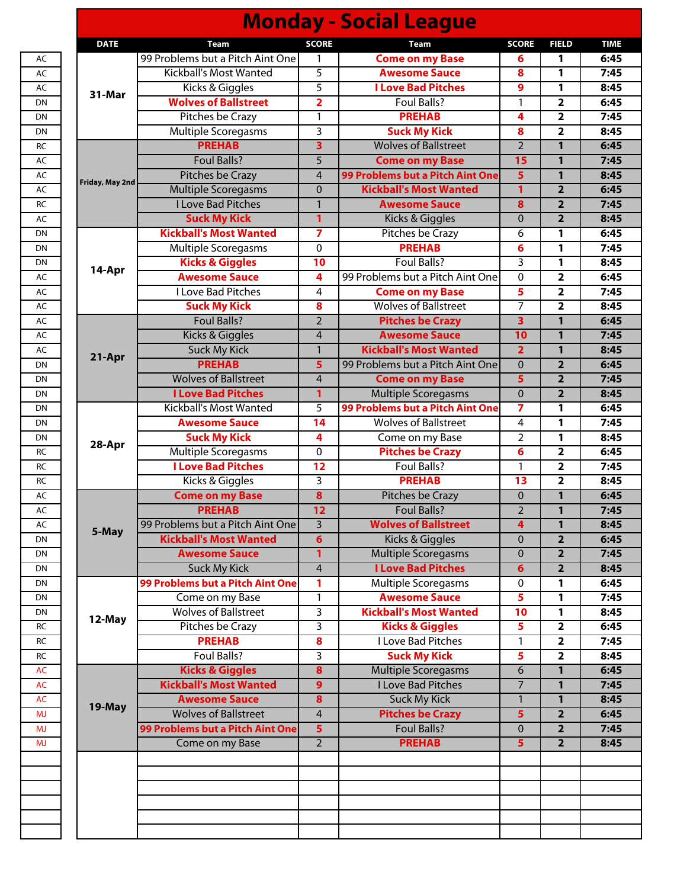|                 |                                  |                         | <b>Monday - Social League</b>    |                |                         |             |
|-----------------|----------------------------------|-------------------------|----------------------------------|----------------|-------------------------|-------------|
| <b>DATE</b>     | <b>Team</b>                      | <b>SCORE</b>            | <b>Team</b>                      | <b>SCORE</b>   | <b>FIELD</b>            | <b>TIME</b> |
|                 | 99 Problems but a Pitch Aint One | 1                       | <b>Come on my Base</b>           | 6              | 1                       | 6:45        |
|                 | <b>Kickball's Most Wanted</b>    | 5                       | <b>Awesome Sauce</b>             | 8              | 1                       | 7:45        |
| 31-Mar          | Kicks & Giggles                  | 5                       | <b>I Love Bad Pitches</b>        | 9              | 1                       | 8:45        |
|                 | <b>Wolves of Ballstreet</b>      | $\overline{2}$          | <b>Foul Balls?</b>               | 1              | $\mathbf{2}$            | 6:45        |
|                 | Pitches be Crazy                 | 1                       | <b>PREHAB</b>                    | 4              | $\overline{\mathbf{2}}$ | 7:45        |
|                 | Multiple Scoregasms              | 3                       | <b>Suck My Kick</b>              | 8              | $\overline{\mathbf{2}}$ | 8:45        |
|                 | <b>PREHAB</b>                    | $\overline{\mathbf{3}}$ | <b>Wolves of Ballstreet</b>      | $\overline{2}$ | $\mathbf{1}$            | 6:45        |
|                 | <b>Foul Balls?</b>               | 5                       | <b>Come on my Base</b>           | 15             | $\mathbf{1}$            | 7:45        |
| Friday, May 2nd | Pitches be Crazy                 | $\overline{4}$          | 99 Problems but a Pitch Aint One | 5              | 1                       | 8:45        |
|                 | <b>Multiple Scoregasms</b>       | $\mathbf{0}$            | <b>Kickball's Most Wanted</b>    | 1              | $\overline{2}$          | 6:45        |
|                 | <b>I Love Bad Pitches</b>        | $\mathbf{1}$            | <b>Awesome Sauce</b>             | 8              | $\overline{2}$          | 7:45        |
|                 | <b>Suck My Kick</b>              | 1                       | Kicks & Giggles                  | $\mathbf{0}$   | $\overline{\mathbf{2}}$ | 8:45        |
|                 | <b>Kickball's Most Wanted</b>    | 7                       | <b>Pitches be Crazy</b>          | 6              | 1                       | 6:45        |
|                 | <b>Multiple Scoregasms</b>       | $\mathbf 0$             | <b>PREHAB</b>                    | 6              | 1                       | 7:45        |
| 14-Apr          | <b>Kicks &amp; Giggles</b>       | 10                      | <b>Foul Balls?</b>               | 3              | 1                       | 8:45        |
|                 | <b>Awesome Sauce</b>             | 4                       | 99 Problems but a Pitch Aint One | $\Omega$       | $\overline{\mathbf{2}}$ | 6:45        |
|                 | <b>I Love Bad Pitches</b>        | 4                       | <b>Come on my Base</b>           | 5              | $\overline{\mathbf{2}}$ | 7:45        |
|                 | <b>Suck My Kick</b>              | 8                       | <b>Wolves of Ballstreet</b>      | 7              | $\overline{\mathbf{2}}$ | 8:45        |
|                 | <b>Foul Balls?</b>               | $\overline{2}$          | <b>Pitches be Crazy</b>          | $\overline{3}$ | 1                       | 6:45        |
|                 | Kicks & Giggles                  | $\overline{4}$          | <b>Awesome Sauce</b>             | 10             | 1                       | 7:45        |
| 21-Apr          | <b>Suck My Kick</b>              | $\mathbf{1}$            | <b>Kickball's Most Wanted</b>    | $\overline{2}$ | 1                       | 8:45        |
|                 | <b>PREHAB</b>                    | 5                       | 99 Problems but a Pitch Aint One | $\overline{0}$ | $\overline{2}$          | 6:45        |
|                 | <b>Wolves of Ballstreet</b>      | $\overline{4}$          | <b>Come on my Base</b>           | 5              | $\overline{2}$          | 7:45        |
|                 | <b>I Love Bad Pitches</b>        | 1                       | <b>Multiple Scoregasms</b>       | $\overline{0}$ | $\overline{2}$          | 8:45        |
|                 | Kickball's Most Wanted           | 5                       | 99 Problems but a Pitch Aint One | 7              | 1                       | 6:45        |
|                 | <b>Awesome Sauce</b>             | 14                      | <b>Wolves of Ballstreet</b>      | 4              | 1                       | 7:45        |
| 28-Apr          | <b>Suck My Kick</b>              | 4                       | Come on my Base                  | $\overline{2}$ | 1                       | 8:45        |
|                 | Multiple Scoregasms              | $\mathbf{0}$            | <b>Pitches be Crazy</b>          | 6              | $\overline{\mathbf{2}}$ | 6:45        |
|                 | <b>I Love Bad Pitches</b>        | $\overline{12}$         | Foul Balls?                      | 1              | $\overline{2}$          | 7:45        |
|                 | Kicks & Giggles                  | $\overline{3}$          | <b>PREHAB</b>                    | 13             | $\overline{\mathbf{2}}$ | 8:45        |
|                 | <b>Come on my Base</b>           | $\bf{8}$                | Pitches be Crazy                 | $\mathbf 0$    | 1                       | 6:45        |
|                 | <b>PREHAB</b>                    | 12                      | <b>Foul Balls?</b>               | $\overline{2}$ | 1                       | 7:45        |
| 5-May           | 99 Problems but a Pitch Aint One | $\overline{3}$          | <b>Wolves of Ballstreet</b>      | 4              | $\mathbf{1}$            | 8:45        |
|                 | <b>Kickball's Most Wanted</b>    | $6\phantom{1}6$         | <b>Kicks &amp; Giggles</b>       | $\mathbf{0}$   | $\overline{2}$          | 6:45        |
|                 | <b>Awesome Sauce</b>             | $\mathbf{1}$            | <b>Multiple Scoregasms</b>       | $\mathbf 0$    | $\overline{2}$          | 7:45        |
|                 | <b>Suck My Kick</b>              | $\overline{4}$          | <b>I Love Bad Pitches</b>        | 6              | $\overline{2}$          | 8:45        |
|                 | 99 Problems but a Pitch Aint One | 1                       | <b>Multiple Scoregasms</b>       | 0              | 1                       | 6:45        |
|                 | Come on my Base                  | 1                       | <b>Awesome Sauce</b>             | 5              | 1                       | 7:45        |
| 12-May          | <b>Wolves of Ballstreet</b>      | $\overline{3}$          | <b>Kickball's Most Wanted</b>    | 10             | 1                       | 8:45        |
|                 | Pitches be Crazy                 | $\overline{3}$          | <b>Kicks &amp; Giggles</b>       | 5              | $\overline{2}$          | 6:45        |
|                 | <b>PREHAB</b>                    | 8                       | <b>I Love Bad Pitches</b>        | $\mathbf{1}$   | $\overline{2}$          | 7:45        |
|                 | <b>Foul Balls?</b>               | 3                       | <b>Suck My Kick</b>              | 5              | $\overline{2}$          | 8:45        |
|                 | <b>Kicks &amp; Giggles</b>       | 8                       | <b>Multiple Scoregasms</b>       | 6              | 1                       | 6:45        |
|                 | <b>Kickball's Most Wanted</b>    | 9                       | <b>I Love Bad Pitches</b>        | $\overline{7}$ | 1                       | 7:45        |
| 19-May          | <b>Awesome Sauce</b>             | $\boldsymbol{8}$        | <b>Suck My Kick</b>              | $\mathbf{1}$   | $\mathbf{1}$            | 8:45        |
|                 | <b>Wolves of Ballstreet</b>      | $\overline{4}$          | <b>Pitches be Crazy</b>          | 5              | $\overline{2}$          | 6:45        |
|                 | 99 Problems but a Pitch Aint One | $5\phantom{a}$          | <b>Foul Balls?</b>               | 0              | $\overline{2}$          | 7:45        |
|                 | Come on my Base                  | $\overline{2}$          | <b>PREHAB</b>                    | 5              | $\overline{2}$          | 8:45        |
|                 |                                  |                         |                                  |                |                         |             |
|                 |                                  |                         |                                  |                |                         |             |
|                 |                                  |                         |                                  |                |                         |             |
|                 |                                  |                         |                                  |                |                         |             |
|                 |                                  |                         |                                  |                |                         |             |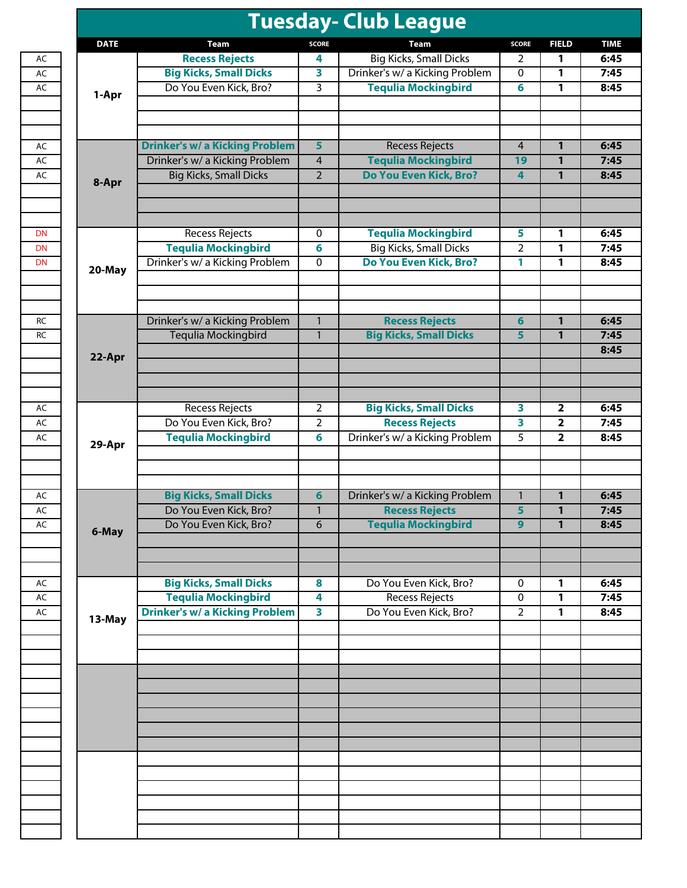| <b>DATE</b> | Team                                  | <b>SCORE</b>            | Team                           | <b>SCORE</b>   | <b>FIELD</b>   |  |
|-------------|---------------------------------------|-------------------------|--------------------------------|----------------|----------------|--|
|             | <b>Recess Rejects</b>                 | 4                       | <b>Big Kicks, Small Dicks</b>  | 2              | 1              |  |
|             | <b>Big Kicks, Small Dicks</b>         | 3                       | Drinker's w/ a Kicking Problem | 0              | 1              |  |
| 1-Apr       | Do You Even Kick, Bro?                | 3                       | <b>Tequlia Mockingbird</b>     | 6              | 1              |  |
|             |                                       |                         |                                |                |                |  |
|             | <b>Drinker's w/ a Kicking Problem</b> | 5                       | <b>Recess Rejects</b>          | 4              | 1              |  |
|             | Drinker's w/ a Kicking Problem        | 4                       | <b>Tequlia Mockingbird</b>     | 19             | 1              |  |
| 8-Apr       | <b>Big Kicks, Small Dicks</b>         | $\overline{2}$          | Do You Even Kick, Bro?         | 4              | $\mathbf{1}$   |  |
|             | <b>Recess Rejects</b>                 | 0                       | <b>Tequlia Mockingbird</b>     | 5              | 1              |  |
|             | <b>Tequlia Mockingbird</b>            | 6                       | <b>Big Kicks, Small Dicks</b>  | 2              | 1              |  |
| 20-May      | Drinker's w/ a Kicking Problem        | 0                       | Do You Even Kick, Bro?         | 1              | 1              |  |
|             |                                       |                         |                                |                |                |  |
|             | Drinker's w/ a Kicking Problem        | $\mathbf{1}$            | <b>Recess Rejects</b>          | 6              | 1              |  |
|             | Tequlia Mockingbird                   | $\mathbf{1}$            | <b>Big Kicks, Small Dicks</b>  | 5              | 1              |  |
| 22-Apr      |                                       |                         |                                |                |                |  |
|             | <b>Recess Rejects</b>                 | 2                       | <b>Big Kicks, Small Dicks</b>  | 3              | 2              |  |
|             | Do You Even Kick, Bro?                | 2                       | <b>Recess Rejects</b>          | 3              | 2              |  |
|             | <b>Tequlia Mockingbird</b>            | 6                       | Drinker's w/ a Kicking Problem | 5              | $\overline{2}$ |  |
| 29-Apr      |                                       |                         |                                |                |                |  |
|             | <b>Big Kicks, Small Dicks</b>         | 6                       | Drinker's w/ a Kicking Problem | $\mathbf{1}$   | 1              |  |
|             | Do You Even Kick, Bro?                | $\mathbf{1}$            | <b>Recess Rejects</b>          | 5              | 1              |  |
| 6-May       | Do You Even Kick, Bro?                | $6\overline{6}$         | <b>Tequlia Mockingbird</b>     | 9              | $\mathbf{1}$   |  |
|             | <b>Big Kicks, Small Dicks</b>         | 8                       | Do You Even Kick, Bro?         | 0              | 1              |  |
|             | <b>Tequlia Mockingbird</b>            | 4                       | <b>Recess Rejects</b>          | 0              | 1              |  |
| 13-May      | <b>Drinker's w/ a Kicking Problem</b> | $\overline{\mathbf{3}}$ | Do You Even Kick, Bro?         | $\overline{2}$ | 1              |  |
|             |                                       |                         |                                |                |                |  |
|             |                                       |                         |                                |                |                |  |
|             |                                       |                         |                                |                |                |  |
|             |                                       |                         |                                |                |                |  |
|             |                                       |                         |                                |                |                |  |
|             |                                       |                         |                                |                |                |  |
|             |                                       |                         |                                |                |                |  |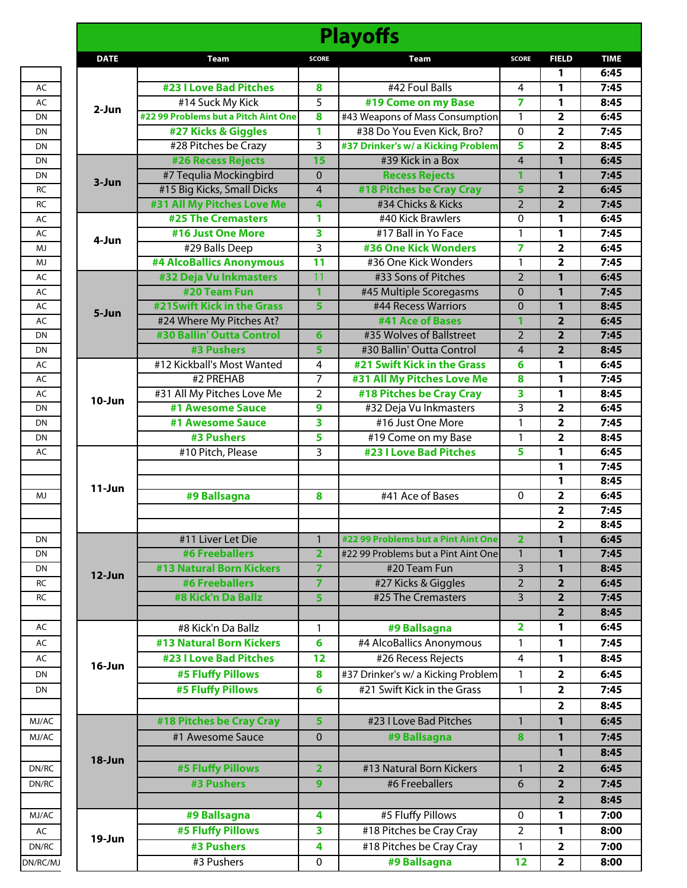|             |                                      |                         | <b>Playoffs</b>                     |                |                         |
|-------------|--------------------------------------|-------------------------|-------------------------------------|----------------|-------------------------|
| <b>DATE</b> | <b>Team</b>                          | <b>SCORE</b>            | <b>Team</b>                         | <b>SCORE</b>   | <b>FIELD</b>            |
|             |                                      |                         |                                     |                | 1                       |
|             | <b>#23 I Love Bad Pitches</b>        | 8                       | #42 Foul Balls                      | 4              | 1                       |
|             | #14 Suck My Kick                     | $\overline{5}$          | #19 Come on my Base                 | 7              | 1                       |
| 2-Jun       | #22 99 Problems but a Pitch Aint One | $\overline{\mathbf{8}}$ | #43 Weapons of Mass Consumption     | 1              | $\overline{2}$          |
|             | #27 Kicks & Giggles                  | 1                       | #38 Do You Even Kick, Bro?          | $\Omega$       | $\overline{2}$          |
|             | #28 Pitches be Crazy                 | $\overline{3}$          | #37 Drinker's w/ a Kicking Problem  | 5              | $\overline{2}$          |
|             | <b>#26 Recess Rejects</b>            | 15                      | #39 Kick in a Box                   | 4              | $\mathbf{1}$            |
|             | #7 Tequlia Mockingbird               | $\Omega$                | <b>Recess Rejects</b>               | 1              | $\mathbf{1}$            |
| $3-Jun$     | #15 Big Kicks, Small Dicks           | $\overline{4}$          | #18 Pitches be Cray Cray            | 5              | $\overline{2}$          |
|             | #31 All My Pitches Love Me           | $\overline{\mathbf{4}}$ | #34 Chicks & Kicks                  | $\overline{2}$ | $\overline{2}$          |
|             | <b>#25 The Cremasters</b>            | 1                       | #40 Kick Brawlers                   | $\Omega$       | 1                       |
|             | #16 Just One More                    | 3                       | #17 Ball in Yo Face                 | 1              | 1                       |
| 4-Jun       | #29 Balls Deep                       | 3                       | <b>#36 One Kick Wonders</b>         | 7              | $\overline{\mathbf{2}}$ |
|             | #4 AlcoBallics Anonymous             | 11                      | #36 One Kick Wonders                | 1              | $\overline{2}$          |
|             | #32 Deja Vu Inkmasters               | 11                      | #33 Sons of Pitches                 | $\overline{2}$ | $\mathbf{1}$            |
|             | #20 Team Fun                         | $\mathbf{1}$            | #45 Multiple Scoregasms             | 0              | $\mathbf{1}$            |
|             | #21Swift Kick in the Grass           | $\overline{\mathbf{5}}$ | #44 Recess Warriors                 | 0              | $\mathbf{1}$            |
| 5-Jun       | #24 Where My Pitches At?             |                         | #41 Ace of Bases                    | 1              | $\overline{2}$          |
|             | #30 Ballin' Outta Control            | 6                       | #35 Wolves of Ballstreet            | $\overline{2}$ | $\overline{2}$          |
|             | #3 Pushers                           | 5                       | #30 Ballin' Outta Control           | 4              | $\overline{2}$          |
|             | #12 Kickball's Most Wanted           | 4                       | #21 Swift Kick in the Grass         | 6              | 1                       |
|             | #2 PREHAB                            | $\overline{7}$          | #31 All My Pitches Love Me          | 8              | $\mathbf{1}$            |
|             | #31 All My Pitches Love Me           | $\overline{2}$          | #18 Pitches be Cray Cray            | 3              | $\mathbf{1}$            |
| $10 - Jun$  | #1 Awesome Sauce                     | 9                       | #32 Deja Vu Inkmasters              | 3              | $\overline{2}$          |
|             | #1 Awesome Sauce                     | $\overline{\mathbf{3}}$ | #16 Just One More                   | $\mathbf{1}$   | $\overline{2}$          |
|             | #3 Pushers                           | 5                       | #19 Come on my Base                 | 1              | $\overline{2}$          |
|             | #10 Pitch, Please                    | 3                       | <b>#23 I Love Bad Pitches</b>       | 5              | 1                       |
|             |                                      |                         |                                     |                | $\mathbf{1}$            |
|             |                                      |                         |                                     |                | $\mathbf{1}$            |
| $11 - Jun$  | #9 Ballsagna                         | 8                       | #41 Ace of Bases                    | 0              | $\overline{\mathbf{2}}$ |
|             |                                      |                         |                                     |                | $\overline{2}$          |
|             |                                      |                         |                                     |                | 2                       |
|             | #11 Liver Let Die                    | $\mathbf{1}$            | #22 99 Problems but a Pint Aint One | $\overline{2}$ | $\mathbf{1}$            |
|             | <b>#6 Freeballers</b>                | $\overline{2}$          | #22 99 Problems but a Pint Aint One | $\mathbf{1}$   | $\mathbf{1}$            |
|             | <b>#13 Natural Born Kickers</b>      | $\overline{7}$          | #20 Team Fun                        | $\overline{3}$ | $\overline{1}$          |
| 12-Jun      | <b>#6 Freeballers</b>                | $\overline{7}$          | #27 Kicks & Giggles                 | $\overline{2}$ | $\overline{2}$          |
|             | #8 Kick'n Da Ballz                   | 5                       | #25 The Cremasters                  | 3              | $\overline{2}$          |
|             |                                      |                         |                                     |                | $\overline{\mathbf{2}}$ |
|             | #8 Kick'n Da Ballz                   | 1                       | #9 Ballsagna                        | 2              | 1                       |
|             | <b>#13 Natural Born Kickers</b>      | 6                       | #4 AlcoBallics Anonymous            | 1              | $\mathbf{1}$            |
|             | <b>#23 I Love Bad Pitches</b>        | 12                      | #26 Recess Rejects                  | 4              | 1                       |
| $16$ -Jun   |                                      |                         |                                     | 1              |                         |
|             | <b>#5 Fluffy Pillows</b>             | 8                       | #37 Drinker's w/ a Kicking Problem  |                | $\overline{\mathbf{2}}$ |
|             | #5 Fluffy Pillows                    | 6                       | #21 Swift Kick in the Grass         | 1              | $\overline{2}$          |
|             |                                      |                         |                                     |                | $\overline{2}$          |
|             | #18 Pitches be Cray Cray             | 5                       | #23 I Love Bad Pitches              | $\mathbf{1}$   | $\mathbf{1}$            |
|             | #1 Awesome Sauce                     | $\mathbf{0}$            | #9 Ballsagna                        | 8              | $\mathbf{1}$            |
| 18-Jun      |                                      |                         |                                     |                | $\mathbf{1}$            |
|             | #5 Fluffy Pillows                    | $\overline{2}$          | #13 Natural Born Kickers            | $\mathbf{1}$   | $\overline{2}$          |
|             | <b>#3 Pushers</b>                    | $\overline{9}$          | #6 Freeballers                      | 6              | $\overline{2}$          |
|             |                                      |                         |                                     |                | $\overline{2}$          |
|             | #9 Ballsagna                         | 4                       | #5 Fluffy Pillows                   | 0              | 1                       |
|             | <b>#5 Fluffy Pillows</b>             | 3                       | #18 Pitches be Cray Cray            | 2              | $\mathbf{1}$            |
| 19-Jun      | #3 Pushers                           | $\overline{\mathbf{4}}$ |                                     |                | $\overline{\mathbf{2}}$ |
|             |                                      |                         | #18 Pitches be Cray Cray            | 1              |                         |
|             | #3 Pushers                           | 0                       | #9 Ballsagna                        | 12             | $\overline{\mathbf{2}}$ |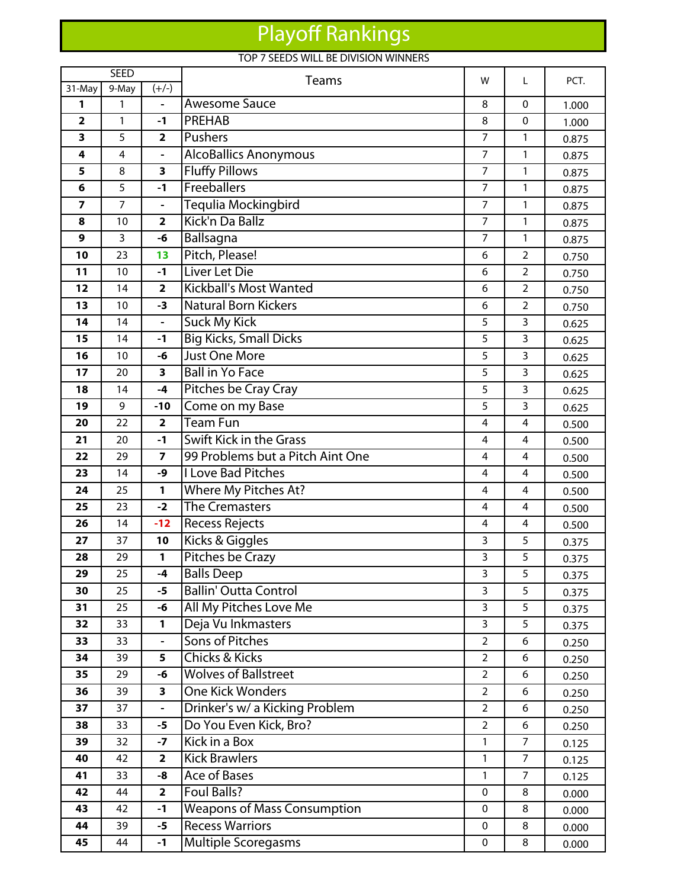## Playoff Rankings

## TOP 7 SEEDS WILL BE DIVISION WINNERS

| <b>SEED</b>             |                |                               | Teams                                        |                                  | L              | PCT.           |
|-------------------------|----------------|-------------------------------|----------------------------------------------|----------------------------------|----------------|----------------|
| 31-May                  | 9-May          | $(+/-)$                       |                                              | W                                |                |                |
| 1                       | 1              | -                             | <b>Awesome Sauce</b>                         | 8                                | $\mathbf 0$    | 1.000          |
| $\overline{\mathbf{2}}$ | 1              | $-1$                          | <b>PREHAB</b>                                | 8                                | $\mathbf 0$    | 1.000          |
| 3                       | 5              | $\overline{\mathbf{2}}$       | Pushers                                      | $\overline{7}$                   | $\mathbf{1}$   | 0.875          |
| 4                       | 4              | -                             | AlcoBallics Anonymous                        | 7                                | $\mathbf{1}$   | 0.875          |
| 5                       | 8              | $\overline{\mathbf{3}}$       | <b>Fluffy Pillows</b>                        | $\overline{7}$                   | $\mathbf{1}$   | 0.875          |
| 6                       | 5              | $-1$                          | Freeballers                                  | 7                                | $\mathbf{1}$   | 0.875          |
| $\overline{7}$          | $\overline{7}$ | $\blacksquare$                | Tequlia Mockingbird                          | $\overline{7}$                   | $\mathbf{1}$   | 0.875          |
| 8                       | 10             | $\overline{\mathbf{2}}$       | Kick'n Da Ballz                              | $\overline{7}$                   | $\mathbf{1}$   | 0.875          |
| 9                       | 3              | -6                            | Ballsagna                                    | $\overline{7}$                   | $\mathbf{1}$   | 0.875          |
| 10                      | 23             | 13                            | Pitch, Please!                               | 6                                | $\overline{2}$ | 0.750          |
| 11                      | 10             | $-1$                          | Liver Let Die                                | 6                                | $\overline{2}$ | 0.750          |
| 12                      | 14             | $\overline{\mathbf{2}}$       | <b>Kickball's Most Wanted</b>                | 6                                | $\overline{2}$ | 0.750          |
| 13                      | 10             | $-3$                          | <b>Natural Born Kickers</b>                  | 6                                | $\overline{2}$ | 0.750          |
| 14                      | 14             | $\qquad \qquad \blacksquare$  | <b>Suck My Kick</b>                          | 5                                | 3              | 0.625          |
| 15                      | 14             | $-1$                          | <b>Big Kicks, Small Dicks</b>                | 5                                | 3              | 0.625          |
| 16                      | 10             | -6                            | <b>Just One More</b>                         | 5                                | 3              | 0.625          |
| 17                      | 20             | $\overline{\mathbf{3}}$       | <b>Ball in Yo Face</b>                       | 5                                | 3              | 0.625          |
| 18                      | 14             | $-4$                          | Pitches be Cray Cray                         | 5                                | 3              | 0.625          |
| 19                      | 9              | $-10$                         | Come on my Base                              | 5                                | 3              | 0.625          |
| 20                      | 22             | $\overline{\mathbf{2}}$       | <b>Team Fun</b>                              | 4                                | $\overline{4}$ | 0.500          |
| 21                      | 20             | $-1$                          | <b>Swift Kick in the Grass</b>               | 4                                | 4              | 0.500          |
| 22                      | 29             | $\overline{\mathbf{z}}$       | 99 Problems but a Pitch Aint One             | 4                                | 4              | 0.500          |
| 23                      | 14             | -9                            | <b>I Love Bad Pitches</b>                    | 4                                | 4              | 0.500          |
| 24                      | 25             | $\mathbf{1}$                  | Where My Pitches At?                         | 4                                | $\overline{4}$ | 0.500          |
| 25                      | 23             | $-2$                          | <b>The Cremasters</b>                        | 4                                | 4              | 0.500          |
| 26                      | 14             | $-12$                         | <b>Recess Rejects</b>                        | 4                                | 4              | 0.500          |
| 27                      | 37             | 10                            | Kicks & Giggles                              | 3                                | 5              | 0.375          |
| 28                      | 29             | 1                             | Pitches be Crazy                             | 3                                | 5              | 0.375          |
| 29                      | 25             | $-4$                          | <b>Balls Deep</b>                            | 3                                | 5              | 0.375          |
| 30                      | 25             | $-5$                          | <b>Ballin' Outta Control</b>                 | 3                                | 5              | 0.375          |
| 31                      | 25             | -6                            | All My Pitches Love Me                       | 3                                | 5              | 0.375          |
| 32                      | 33             | 1                             | Deja Vu Inkmasters<br><b>Sons of Pitches</b> | 3                                | 5              | 0.375          |
| 33<br>34                | 33<br>39       | $\overline{\phantom{0}}$<br>5 | <b>Chicks &amp; Kicks</b>                    | $\overline{2}$<br>$\overline{2}$ | 6<br>6         | 0.250          |
| 35                      | 29             | -6                            | <b>Wolves of Ballstreet</b>                  | $\overline{2}$                   | 6              | 0.250          |
| 36                      | 39             | 3                             | <b>One Kick Wonders</b>                      | $\overline{2}$                   | 6              | 0.250          |
| 37                      | 37             | $\overline{\phantom{0}}$      | Drinker's w/ a Kicking Problem               | $\overline{2}$                   | 6              | 0.250<br>0.250 |
| 38                      | 33             | -5                            | Do You Even Kick, Bro?                       | $\overline{2}$                   | 6              |                |
| 39                      | 32             | $-7$                          | Kick in a Box                                | 1                                | $\overline{7}$ | 0.250<br>0.125 |
| 40                      | 42             | $\overline{\mathbf{2}}$       | <b>Kick Brawlers</b>                         | 1                                | $\overline{7}$ | 0.125          |
| 41                      | 33             | -8                            | <b>Ace of Bases</b>                          | 1                                | $\overline{7}$ | 0.125          |
| 42                      | 44             | $\overline{\mathbf{2}}$       | <b>Foul Balls?</b>                           | $\mathbf 0$                      | 8              | 0.000          |
| 43                      | 42             | $-1$                          | <b>Weapons of Mass Consumption</b>           | $\mathbf 0$                      | 8              | 0.000          |
| 44                      | 39             | $-5$                          | <b>Recess Warriors</b>                       | $\mathbf 0$                      | 8              | 0.000          |
| 45                      | 44             | $-1$                          | Multiple Scoregasms                          | 0                                | 8              | 0.000          |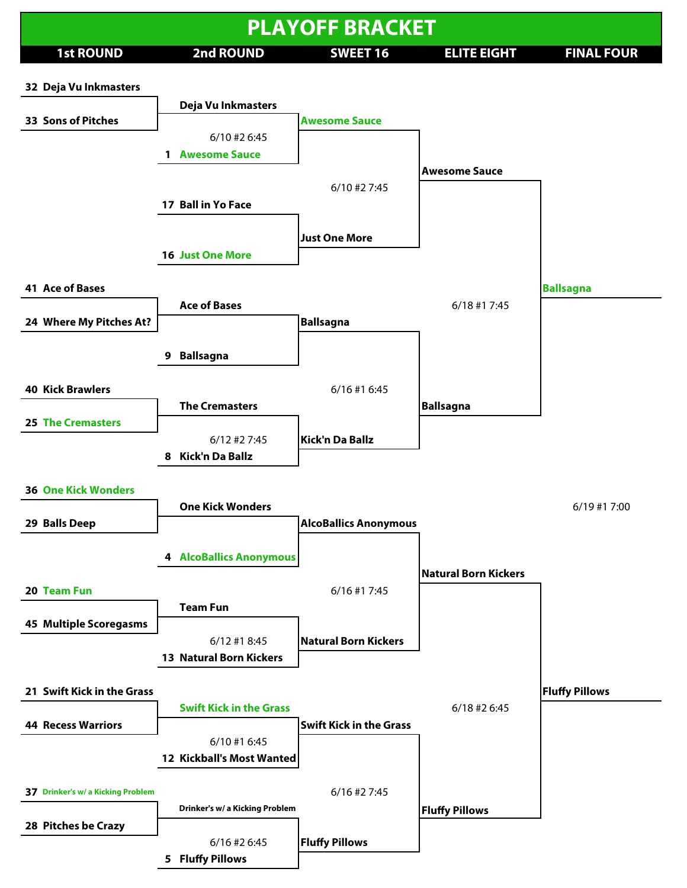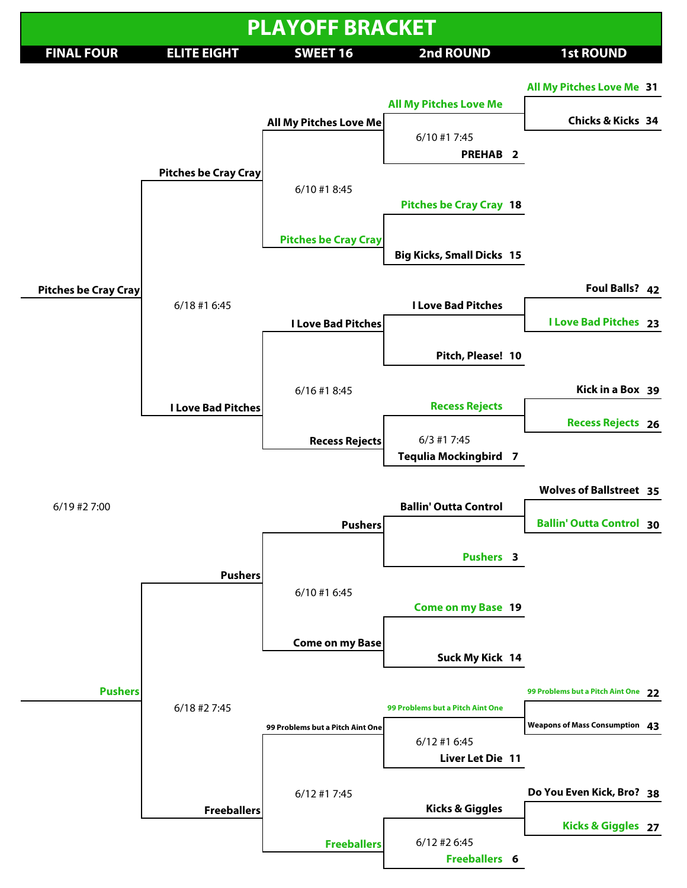